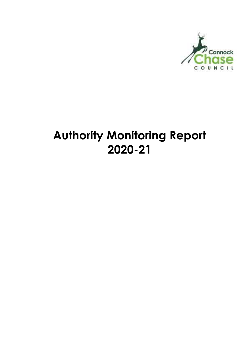

# **Authority Monitoring Report 2020-21**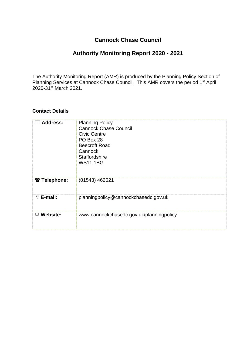#### **Cannock Chase Council**

### **Authority Monitoring Report 2020 - 2021**

The Authority Monitoring Report (AMR) is produced by the Planning Policy Section of Planning Services at Cannock Chase Council. This AMR covers the period 1<sup>st</sup> April 2020-31st March 2021.

#### **Contact Details**

| $\equiv$ Address:    | <b>Planning Policy</b><br><b>Cannock Chase Council</b><br><b>Civic Centre</b><br>PO Box 28<br><b>Beecroft Road</b><br>Cannock<br><b>Staffordshire</b><br><b>WS11 1BG</b> |
|----------------------|--------------------------------------------------------------------------------------------------------------------------------------------------------------------------|
| <b>☎ Telephone:</b>  | $(01543)$ 462621                                                                                                                                                         |
| $\oplus$ E-mail:     | planningpolicy@cannockchasedc.gov.uk                                                                                                                                     |
| <b>Website:</b><br>鳳 | www.cannockchasedc.gov.uk/planningpolicy                                                                                                                                 |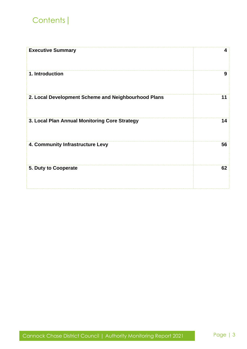# Contents|

| <b>Executive Summary</b>                            | 4  |
|-----------------------------------------------------|----|
| 1. Introduction                                     | 9  |
| 2. Local Development Scheme and Neighbourhood Plans | 11 |
| 3. Local Plan Annual Monitoring Core Strategy       | 14 |
| 4. Community Infrastructure Levy                    | 56 |
| 5. Duty to Cooperate                                | 62 |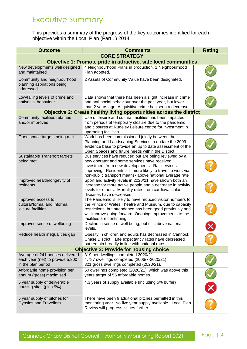# Executive Summary

This provides a summary of the progress of the key outcomes identified for each objective within the Local Plan (Part 1) 2014.

| <b>Outcome</b>                                                                            | <b>Comments</b>                                                                                                                                                                                                                                                                     | <b>Rating</b> |  |  |  |  |
|-------------------------------------------------------------------------------------------|-------------------------------------------------------------------------------------------------------------------------------------------------------------------------------------------------------------------------------------------------------------------------------------|---------------|--|--|--|--|
| <b>CORE STRATEGY</b>                                                                      |                                                                                                                                                                                                                                                                                     |               |  |  |  |  |
| Objective 1: Promote pride in attractive, safe local communities                          |                                                                                                                                                                                                                                                                                     |               |  |  |  |  |
| New developments well designed<br>and maintained                                          | 4 Neighbourhood Plans in production. 1 Neighbourhood<br>Plan adopted.                                                                                                                                                                                                               |               |  |  |  |  |
| Community and neighbourhood<br>planning aspirations being<br>addressed                    | 2 Assets of Community Value have been designated.                                                                                                                                                                                                                                   |               |  |  |  |  |
| Low/falling levels of crime and<br>antisocial behaviour                                   | Data shows that there has been a slight increase in crime<br>and anti-social behaviour over the past year, but lower<br>than 2 years ago. Acquisitive crime has seen a decrease.                                                                                                    |               |  |  |  |  |
|                                                                                           | Objective 2: Create healthy living opportunities across the district                                                                                                                                                                                                                |               |  |  |  |  |
| Community facilities retained<br>and/or improved                                          | Use of leisure and cultural facilities has been impacted<br>from periods of temporary closure due to the pandemic<br>and closures at Rugeley Leisure centre for investment in<br>upgrading facilities.                                                                              |               |  |  |  |  |
| Open space targets being met                                                              | Work has been commissioned jointly between the<br>Planning and Landscaping Services to update the 2009<br>evidence base to provide an up to date assessment of the<br>Open Spaces and future needs within the District.                                                             |               |  |  |  |  |
| Sustainable Transport targets<br>being met                                                | Bus services have reduced but are being reviewed by a<br>new operator and some services have received<br>investment from new developments. Rail services<br>improving. Residents still more likely to travel to work via<br>non-public transport means- above national average rate |               |  |  |  |  |
| Improved health/longevity of<br>residents                                                 | Sport and activity levels in 2020/21 have shown both an<br>increase for more active people and a decrease in activity<br>levels for others. Mortality rates from cardiovascular<br>diseases have decreased                                                                          |               |  |  |  |  |
| Improved access to<br>cultural/formal and informal<br>leisure facilities                  | The Pandemic is likely to have reduced visitor numbers to<br>the Prince of Wales Theatre and Museum, due to capacity<br>restrictions, but attendance has been good previously and<br>will improve going forward. Ongoing improvements to the<br>facilities are continuing.          |               |  |  |  |  |
| Improved sense of wellbeing                                                               | Decline in sense of well being, but still above national<br>levels.                                                                                                                                                                                                                 |               |  |  |  |  |
| Reduce health inequalities gap                                                            | Obesity in children and adults has decreased in Cannock<br>Chase District. Life expectancy rates have decreased<br>but remain broadly in line with national rates.                                                                                                                  |               |  |  |  |  |
|                                                                                           | <b>Objective 3: Provide for housing choice</b>                                                                                                                                                                                                                                      |               |  |  |  |  |
| Average of 241 houses delivered<br>each year (net) to provide 5,300<br>in the plan period | 319 net dwellings completed 2020/21.<br>4,787 dwellings completed (2006/7-2020/21).<br>321 gross dwellings completed (2020/21).                                                                                                                                                     |               |  |  |  |  |
| Affordable home provision per<br>annum (gross) maximised                                  | 60 dwellings completed (2020/21), which was above this<br>years target of 55 affordable homes.                                                                                                                                                                                      |               |  |  |  |  |
| 5 year supply of deliverable<br>housing sites (plus 5%)                                   | 4.3 years of supply available (including 5% buffer)                                                                                                                                                                                                                                 |               |  |  |  |  |
| 5 year supply of pitches for<br><b>Gypsies and Travellers</b>                             | There have been 9 additional pitches permitted in this<br>monitoring year. No five year supply available. Local Plan<br>Review will progress issues further.                                                                                                                        |               |  |  |  |  |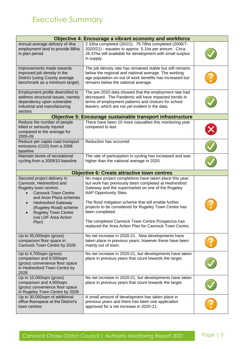| <b>Objective 4: Encourage a vibrant economy and workforce</b>                                                                                                                                                                                               |                                                                                                                                                                                                                                                                                                                                                                                                                                                   |  |  |  |  |
|-------------------------------------------------------------------------------------------------------------------------------------------------------------------------------------------------------------------------------------------------------------|---------------------------------------------------------------------------------------------------------------------------------------------------------------------------------------------------------------------------------------------------------------------------------------------------------------------------------------------------------------------------------------------------------------------------------------------------|--|--|--|--|
| Annual average delivery of 4ha<br>employment land to provide 88ha<br>in plan period                                                                                                                                                                         | 2.33ha completed (20/21). 75.78ha completed (2006/7-<br>2020/21) - equates to approx. 5.1ha per annum. Circa<br>26.37ha still available for development with small surplus<br>in supply.                                                                                                                                                                                                                                                          |  |  |  |  |
| Improvements made towards<br>improved job density in the<br>District (using County average<br>benchmark as a minimum target)                                                                                                                                | The job density rate has remained stable but still remains<br>below the regional and national average. The working<br>age population on out of work benefits has increased but<br>remains below the national average.                                                                                                                                                                                                                             |  |  |  |  |
| Employment profile diversified to<br>address structural issues, namely<br>dependency upon vulnerable<br>industrial and manufacturing<br>sectors                                                                                                             | The pre-2020 data showed that the employment rate had<br>decreased. The Pandemic will have impacted trends in<br>terms of employment patterns and choices for school<br>leavers, which are not yet evident in the data.                                                                                                                                                                                                                           |  |  |  |  |
|                                                                                                                                                                                                                                                             | Objective 5: Encourage sustainable transport infrastructure                                                                                                                                                                                                                                                                                                                                                                                       |  |  |  |  |
| Reduce the number of people<br>killed or seriously injured<br>compared to the average for<br>2005-09                                                                                                                                                        | There have been 10 more casualties this monitoring year<br>compared to last.                                                                                                                                                                                                                                                                                                                                                                      |  |  |  |  |
| Reduce per capita road transport<br>emissions (CO2) from a 2008<br>baseline                                                                                                                                                                                 | Reduction has occurred.                                                                                                                                                                                                                                                                                                                                                                                                                           |  |  |  |  |
| Maintain levels of recreational<br>cycling from a 2009/10 baseline                                                                                                                                                                                          | The rate of participation in cycling has increased and was<br>higher than the national average in 2020.                                                                                                                                                                                                                                                                                                                                           |  |  |  |  |
|                                                                                                                                                                                                                                                             | <b>Objective 6: Create attractive town centres</b>                                                                                                                                                                                                                                                                                                                                                                                                |  |  |  |  |
| Secured project delivery in<br>Cannock, Hednesford and<br>Rugeley town centres<br><b>Cannock Town Centre</b><br>and Avon Plaza schemes<br><b>Hednesford Gateway</b><br>(Rugeley Road) scheme<br><b>Rugeley Town Centre</b><br>(via LDF Area Action<br>Plan) | No major project completions have taken place this year,<br>but work has previously been completed at Hednesford<br>Gateway and the supermarket on one of the Rugeley<br>AAP Opportunity Sites.<br>The flood mitigation scheme that will enable further<br>projects to be considered for Rugeley Town Centre has<br>been completed.<br>The completed Cannock Town Centre Prospectus has<br>replaced the Area Action Plan for Cannock Town Centre. |  |  |  |  |
| Up to 35,000sqm (gross)<br>comparison floor space in<br>Cannock Town Centre by 2028                                                                                                                                                                         | No net increase in 2020-21. New developments have<br>taken place in previous years; however these have been<br>mainly out of town.                                                                                                                                                                                                                                                                                                                |  |  |  |  |
| Up to 4,700sqm (gross)<br>comparison and 9,500sqm<br>(gross) convenience floor space<br>in Hednesford Town Centre by<br>2028                                                                                                                                | No net increase in 2020-21, but developments have taken<br>place in previous years that count towards the target.                                                                                                                                                                                                                                                                                                                                 |  |  |  |  |
| Up to 10,000sqm (gross)<br>comparison and 4,900sqm<br>(gross) convenience floor space<br>in Rugeley Town Centre by 2028                                                                                                                                     | No net increase in 2020-21, but developments have taken<br>place in previous years that count towards the target.                                                                                                                                                                                                                                                                                                                                 |  |  |  |  |
| Up to 30,000sqm of additional<br>office floorspace at the District's<br>town centres                                                                                                                                                                        | A small amount of development has taken place in<br>previous years and there has been one application<br>approved for a net increase in 2020-21.                                                                                                                                                                                                                                                                                                  |  |  |  |  |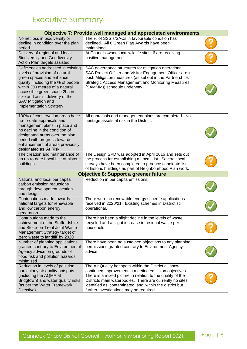# Executive Summary

| <b>Objective 7: Provide well managed and appreciated environments</b>                                                                                                                                                                                                                                |                                                                                                                                                                                                                                                                                                                                                   |  |  |  |  |  |
|------------------------------------------------------------------------------------------------------------------------------------------------------------------------------------------------------------------------------------------------------------------------------------------------------|---------------------------------------------------------------------------------------------------------------------------------------------------------------------------------------------------------------------------------------------------------------------------------------------------------------------------------------------------|--|--|--|--|--|
| No net loss in biodiversity or<br>decline in condition over the plan<br>period                                                                                                                                                                                                                       | The % of SSSIs/SACs in favourable condition has<br>declined. All 6 Green Flag Awards have been<br>maintained.                                                                                                                                                                                                                                     |  |  |  |  |  |
| Delivery of regional and local<br><b>Biodiversity and Geodiversity</b><br>Action Plan targets assisted                                                                                                                                                                                               | At Council owned local wildlife sites, 6 are receiving<br>positive management.                                                                                                                                                                                                                                                                    |  |  |  |  |  |
| Deficiencies addressed in existing<br>levels of provision of natural<br>green spaces and enhance<br>quality; including the % of people<br>within 300 metres of a natural<br>accessible green space 2ha in<br>size and assist delivery of the<br>SAC Mitigation and<br><b>Implementation Strategy</b> | SAC governance structures for mitigation operational.<br>SAC Project Officer and Visitor Engagement Officer are in<br>post. Mitigation measures (as set out in the Partnerships'<br><b>Strategic Access Management and Monitoring Measures</b><br>(SAMMM)) schedule underway.                                                                     |  |  |  |  |  |
| 100% of conservation areas have<br>up-to-date appraisals and<br>management plans in place and<br>no decline in the condition of<br>designated areas over the plan<br>period with progress towards<br>enhancement of areas previously<br>designated as 'At Risk'                                      | All appraisals and management plans are completed. No<br>heritage assets at risk in the District.                                                                                                                                                                                                                                                 |  |  |  |  |  |
| The creation and maintenance of<br>an up-to-date Local List of historic<br>buildings                                                                                                                                                                                                                 | The Design SPD was adopted in April 2016 and sets out<br>the process for establishing a Local List. Several local<br>surveys have been completed to produce candidate lists<br>of historic buildings as part of Neighbourhood Plan work.                                                                                                          |  |  |  |  |  |
| <b>Objective 8: Support a greener future</b>                                                                                                                                                                                                                                                         |                                                                                                                                                                                                                                                                                                                                                   |  |  |  |  |  |
| National and local per capita<br>carbon emission reductions<br>through development location<br>and design                                                                                                                                                                                            | Reduction in per capita emissions.                                                                                                                                                                                                                                                                                                                |  |  |  |  |  |
| Contributions made towards<br>national targets for renewable<br>and low carbon energy<br>generation                                                                                                                                                                                                  | There were no renewable energy scheme applications<br>received in 2020/21. Existing schemes in District still<br>operational.                                                                                                                                                                                                                     |  |  |  |  |  |
| Contributions made to the<br>achievement of the Staffordshire<br>and Stoke-on-Trent Joint Waste<br>Management Strategy target of<br>'zero waste to landfill' by 2020                                                                                                                                 | There has been a slight decline in the levels of waste<br>recycled and a slight increase in residual waste per<br>household.                                                                                                                                                                                                                      |  |  |  |  |  |
| Number of planning applications<br>granted contrary to Environmental<br>Agency advice on grounds of<br>flood risk and pollution hazards<br>minimised                                                                                                                                                 | There have been no sustained objections to any planning<br>permissions granted contrary to Environment Agency<br>advice.                                                                                                                                                                                                                          |  |  |  |  |  |
| Reduction in levels of pollution,<br>particularly air quality hotspots<br>(including the AQMA at<br>Bridgtown) and water quality risks<br>(as per the Water Framework<br>Directive)                                                                                                                  | The Air Quality hot spots within the District all show<br>continued improvement in meeting emission objectives.<br>There is a mixed picture in relation to the quality of the<br>Districts main waterbodies. There are currently no sites<br>identified as 'contaminated land' within the district but<br>further investigations may be required. |  |  |  |  |  |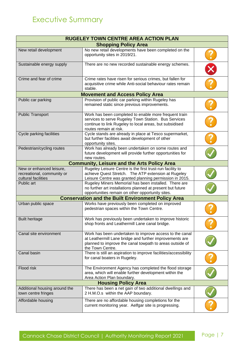| <b>RUGELEY TOWN CENTRE AREA ACTION PLAN</b>                                   |                                                                                                                                                                                                    |  |  |  |  |
|-------------------------------------------------------------------------------|----------------------------------------------------------------------------------------------------------------------------------------------------------------------------------------------------|--|--|--|--|
| <b>Shopping Policy Area</b>                                                   |                                                                                                                                                                                                    |  |  |  |  |
| New retail development                                                        | No new retail developments have been completed on the<br>opportunity sites in 2019/21.                                                                                                             |  |  |  |  |
| Sustainable energy supply                                                     | There are no new recorded sustainable energy schemes.                                                                                                                                              |  |  |  |  |
| Crime and fear of crime                                                       | Crime rates have risen for serious crimes, but fallen for<br>acquisitive crime while Anti-social behaviour rates remain<br>stable.                                                                 |  |  |  |  |
|                                                                               | <b>Movement and Access Policy Area</b>                                                                                                                                                             |  |  |  |  |
| Public car parking                                                            | Provision of public car parking within Rugeley has<br>remained static since previous improvements.                                                                                                 |  |  |  |  |
| <b>Public Transport</b>                                                       | Work has been completed to enable more frequent train<br>services to serve Rugeley Town Station. Bus Services<br>continue to link Rugeley to local areas, but subsidised<br>routes remain at risk. |  |  |  |  |
| Cycle parking facilities                                                      | Cycle stands are already in place at Tesco supermarket,<br>but further facilities await development of other<br>opportunity sites.                                                                 |  |  |  |  |
| Pedestrian/cycling routes                                                     | Work has already been undertaken on some routes and<br>future development will provide further opportunities for<br>new routes.                                                                    |  |  |  |  |
|                                                                               | <b>Community, Leisure and the Arts Policy Area</b>                                                                                                                                                 |  |  |  |  |
| New or enhanced leisure,<br>recreational, community or<br>cultural facilities | Rugeley Leisure Centre is the first trust-run facility to<br>achieve Quest Stretch. The ATP extension at Rugeley<br>Leisure Centre was granted planning permission in 2015.                        |  |  |  |  |
| Public art                                                                    | Rugeley Miners Memorial has been installed. There are<br>no further art installations planned at present but future<br>opportunities remain on other opportunity sites.                            |  |  |  |  |
|                                                                               | <b>Conservation and the Built Environment Policy Area</b>                                                                                                                                          |  |  |  |  |
| Urban public space                                                            | Works have previously been completed on improved<br>pedestrian spaces within the Town Centre.                                                                                                      |  |  |  |  |
| <b>Built heritage</b>                                                         | Work has previously been undertaken to improve historic<br>shop fronts and Leathermill Lane canal bridge.                                                                                          |  |  |  |  |
| Canal site environment                                                        | Work has been undertaken to improve access to the canal<br>at Leathermill Lane bridge and further improvements are<br>planned to improve the canal towpath to areas outside of<br>the Town Centre. |  |  |  |  |
| Canal basin                                                                   | There is still an aspiration to improve facilities/accessibility<br>for canal boaters in Rugeley.                                                                                                  |  |  |  |  |
| Flood risk                                                                    | The Environment Agency has completed the flood storage<br>area, which will enable further development within the<br>Area Action Plan boundary.                                                     |  |  |  |  |
| <b>Housing Policy Area</b>                                                    |                                                                                                                                                                                                    |  |  |  |  |
| Additional housing around the<br>town centre fringes                          | There has been a net gain of two additional dwellings and<br>2 H.M.O.s within the AAP boundary.                                                                                                    |  |  |  |  |
| Affordable housing                                                            | There are no affordable housing completions for the<br>current monitoring year. Aelfgar site is progressing.                                                                                       |  |  |  |  |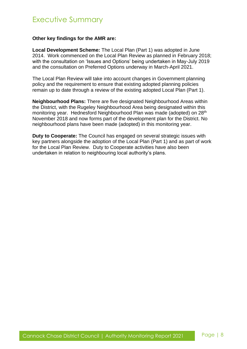#### **Other key findings for the AMR are:**

**Local Development Scheme:** The Local Plan (Part 1) was adopted in June 2014. Work commenced on the Local Plan Review as planned in February 2018; with the consultation on 'Issues and Options' being undertaken in May-July 2019 and the consultation on Preferred Options underway in March-April 2021.

The Local Plan Review will take into account changes in Government planning policy and the requirement to ensure that existing adopted planning policies remain up to date through a review of the existing adopted Local Plan (Part 1).

**Neighbourhood Plans:** There are five designated Neighbourhood Areas within the District, with the Rugeley Neighbourhood Area being designated within this monitoring year. Hednesford Neighbourhood Plan was made (adopted) on 28<sup>th</sup> November 2018 and now forms part of the development plan for the District. No neighbourhood plans have been made (adopted) in this monitoring year.

**Duty to Cooperate:** The Council has engaged on several strategic issues with key partners alongside the adoption of the Local Plan (Part 1) and as part of work for the Local Plan Review. Duty to Cooperate activities have also been undertaken in relation to neighbouring local authority's plans.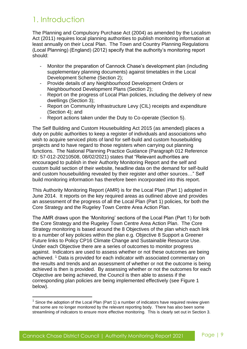### 1. Introduction

The Planning and Compulsory Purchase Act (2004) as amended by the Localism Act (2011) requires local planning authorities to publish monitoring information at least annually on their Local Plan. The Town and Country Planning Regulations (Local Planning) (England) (2012) specify that the authority's monitoring report should:

- Monitor the preparation of Cannock Chase's development plan (including supplementary planning documents) against timetables in the Local Development Scheme (Section 2);
- Provide details of any Neighbourhood Development Orders or Neighbourhood Development Plans (Section 2);
- Report on the progress of Local Plan policies, including the delivery of new dwellings (Section 3);
- Report on Community Infrastructure Levy (CIL) receipts and expenditure (Section 4); and
- Report actions taken under the Duty to Co-operate (Section 5).

The Self Building and Custom Housebuilding Act 2015 (as amended) places a duty on public authorities to keep a register of individuals and associations who wish to acquire serviced plots of land for self-build and custom housebuilding projects and to have regard to those registers when carrying out planning functions. The National Planning Practice Guidance (Paragraph 012 Reference ID: 57-012-20210508, 08/02/2021) states that "Relevant authorities are encouraged to publish in their Authority Monitoring Report and the self and custom build section of their website, headline data on the demand for self-build and custom housebuilding revealed by their register and other sources…" Self build monitoring information has therefore been incorporated into this report.

This Authority Monitoring Report (AMR) is for the Local Plan (Part 1) adopted in June 2014. It reports on the key required areas as outlined above and provides an assessment of the progress of all the Local Plan (Part 1) policies, for both the Core Strategy and the Rugeley Town Centre Area Action Plan.

The AMR draws upon the 'Monitoring' sections of the Local Plan (Part 1) for both the Core Strategy and the Rugeley Town Centre Area Action Plan. The Core Strategy monitoring is based around the 8 Objectives of the plan which each link to a number of key policies within the plan e.g. Objective 8 Support a Greener Future links to Policy CP16 Climate Change and Sustainable Resource Use. Under each Objective there are a series of outcomes to monitor progress against. Indicators are used to assess whether or not these outcomes are being achieved. <sup>1</sup> Data is provided for each indicator with associated commentary on the results and trends and an assessment of whether or not the outcome is being achieved is then is provided. By assessing whether or not the outcomes for each Objective are being achieved, the Council is then able to assess if the corresponding plan policies are being implemented effectively (see Figure 1 below).

 $1$  Since the adoption of the Local Plan (Part 1) a number of indicators have required review given that some are no longer monitored by the relevant reporting body. There has also been some streamlining of indicators to ensure more effective monitoring. This is clearly set out in Section 3.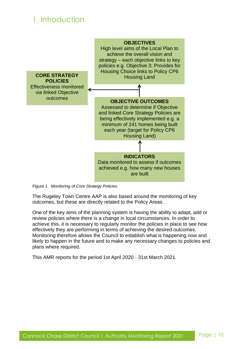# 1. Introduction



*Figure 1. Monitoring of Core Strategy Policies.*

The Rugeley Town Centre AAP is also based around the monitoring of key outcomes, but these are directly related to the Policy Areas.

One of the key aims of the planning system is having the ability to adapt, add or review policies where there is a change in local circumstances. In order to achieve this, it is necessary to regularly monitor the policies in place to see how effectively they are performing in terms of achieving the desired outcomes. Monitoring therefore allows the Council to establish what is happening now and likely to happen in the future and to make any necessary changes to policies and plans where required.

This AMR reports for the period 1st April 2020 - 31st March 2021.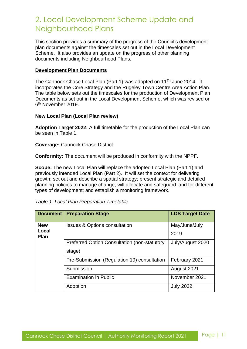# 2. Local Development Scheme Update and Neighbourhood Plans

This section provides a summary of the progress of the Council's development plan documents against the timescales set out in the Local Development Scheme. It also provides an update on the progress of other planning documents including Neighbourhood Plans.

#### **Development Plan Documents**

The Cannock Chase Local Plan (Part 1) was adopted on 11<sup>Th</sup> June 2014. It incorporates the Core Strategy and the Rugeley Town Centre Area Action Plan. The table below sets out the timescales for the production of Development Plan Documents as set out in the Local Development Scheme, which was revised on 6<sup>th</sup> November 2019.

#### **New Local Plan (Local Plan review)**

**Adoption Target 2022:** A full timetable for the production of the Local Plan can be seen in Table 1.

**Coverage:** Cannock Chase District

**Conformity:** The document will be produced in conformity with the NPPF.

**Scope:** The new Local Plan will replace the adopted Local Plan (Part 1) and previously intended Local Plan (Part 2). It will set the context for delivering growth; set out and describe a spatial strategy; present strategic and detailed planning policies to manage change; will allocate and safeguard land for different types of development; and establish a monitoring framework.

| <b>Document</b>      | <b>Preparation Stage</b>                            | <b>LDS Target Date</b> |
|----------------------|-----------------------------------------------------|------------------------|
| <b>New</b>           | <b>Issues &amp; Options consultation</b>            | May/June/July          |
| Local<br><b>Plan</b> |                                                     | 2019                   |
|                      | <b>Preferred Option Consultation (non-statutory</b> | July/August 2020       |
|                      | stage)                                              |                        |
|                      | Pre-Submission (Regulation 19) consultation         | February 2021          |
|                      | Submission                                          | August 2021            |
|                      | <b>Examination in Public</b>                        | November 2021          |
|                      | Adoption                                            | <b>July 2022</b>       |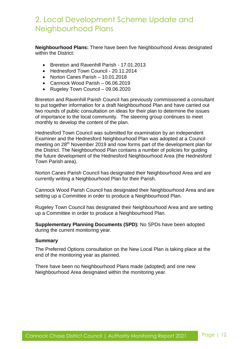# 2. Local Development Scheme Update and Neighbourhood Plans

**Neighbourhood Plans:** There have been five Neighbourhood Areas designated within the District:

- Brereton and Ravenhill Parish 17.01.2013
- Hednesford Town Council 20.11.2014
- Norton Canes Parish 10.01.2018
- Cannock Wood Parish 06.06.2019
- Rugeley Town Council 09.06.2020

Brereton and Ravenhill Parish Council has previously commissioned a consultant to put together information for a draft Neighbourhood Plan and have carried out two rounds of public consultation on ideas for their plan to determine the issues of importance to the local community. The steering group continues to meet monthly to develop the content of the plan.

Hednesford Town Council was submitted for examination by an independent Examiner and the Hednesford Neighbourhood Plan was adopted at a Council meeting on 28th November 2019 and now forms part of the development plan for the District. The Neighbourhood Plan contains a number of policies for guiding the future development of the Hednesford Neighbourhood Area (the Hednesford Town Parish area).

Norton Canes Parish Council has designated their Neighbourhood Area and are currently writing a Neighbourhood Plan for their Parish.

Cannock Wood Parish Council has designated their Neighbourhood Area and are setting up a Committee in order to produce a Neighbourhood Plan.

Rugeley Town Council has designated their Neighbourhood Area and are setting up a Committee in order to produce a Neighbourhood Plan.

**Supplementary Planning Documents (SPD):** No SPDs have been adopted during the current monitoring year.

#### **Summary**

The Preferred Options consultation on the New Local Plan is taking place at the end of the monitoring year as planned.

There have been no Neighbourhood Plans made (adopted) and one new Neighbourhood Area designated within the monitoring year.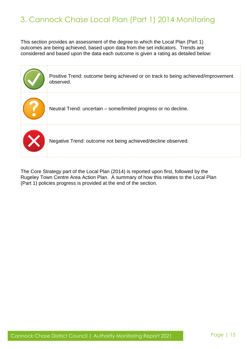# 3. Cannock Chase Local Plan (Part 1) 2014 Monitoring

This section provides an assessment of the degree to which the Local Plan (Part 1) outcomes are being achieved, based upon data from the set indicators. Trends are considered and based upon the data each outcome is given a rating as detailed below:

| Positive Trend: outcome being achieved or on track to being achieved/improvement<br>observed. |
|-----------------------------------------------------------------------------------------------|
| Neutral Trend: uncertain - some/limited progress or no decline.                               |
| Negative Trend: outcome not being achieved/decline observed.                                  |

The Core Strategy part of the Local Plan (2014) is reported upon first, followed by the Rugeley Town Centre Area Action Plan. A summary of how this relates to the Local Plan (Part 1) policies progress is provided at the end of the section.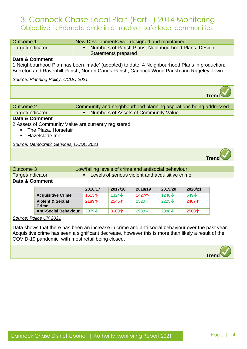### 3. Cannock Chase Local Plan (Part 1) 2014 Monitoring Objective 1: Promote pride in attractive, safe local communities

| Outcome 1                                            | New Developments well designed and maintained                                                |  |  |  |  |
|------------------------------------------------------|----------------------------------------------------------------------------------------------|--|--|--|--|
| Target/Indicator                                     | Numbers of Parish Plans, Neighbourhood Plans, Design<br>п<br><b>Statements prepared</b>      |  |  |  |  |
| Data & Comment                                       |                                                                                              |  |  |  |  |
|                                                      | 1 Neighbourhood Plan has been 'made' (adopted) to date. 4 Neighbourhood Plans in production: |  |  |  |  |
|                                                      | Brereton and Ravenhill Parish, Norton Canes Parish, Cannock Wood Parish and Rugeley Town.    |  |  |  |  |
| Source: Planning Policy, CCDC 2021                   |                                                                                              |  |  |  |  |
|                                                      |                                                                                              |  |  |  |  |
|                                                      |                                                                                              |  |  |  |  |
|                                                      |                                                                                              |  |  |  |  |
| <b>Outcome 2</b>                                     | Community and neighbourhood planning aspirations being addressed                             |  |  |  |  |
| Target/Indicator                                     | <b>Numbers of Assets of Community Value</b><br>$\blacksquare$                                |  |  |  |  |
| Data & Comment                                       |                                                                                              |  |  |  |  |
| 2 Assets of Community Value are currently registered |                                                                                              |  |  |  |  |
| The Plaza, Horsefair                                 |                                                                                              |  |  |  |  |
| Hazelslade Inn                                       |                                                                                              |  |  |  |  |
| Source: Democratic Services, CCDC 2021               |                                                                                              |  |  |  |  |
|                                                      |                                                                                              |  |  |  |  |

| Outcome 3        |                          | Low/falling levels of crime and antisocial behaviour |                |         |             |               |  |
|------------------|--------------------------|------------------------------------------------------|----------------|---------|-------------|---------------|--|
| Target/Indicator |                          | Levels of serious violent and acquisitive crime.     |                |         |             |               |  |
| Data & Comment   |                          |                                                      |                |         |             |               |  |
|                  |                          | 2016/17                                              | 2017/18        | 2018/19 | 2019/20     | 2020/21       |  |
|                  | <b>Acquisitive Crime</b> | 1613 $\bigwedge$                                     | $1324\text{V}$ | 1427个   | 1246 $\vee$ | $549\sqrt{ }$ |  |

| <b>Acquisitive Crime</b>     | 1613 $\blacktriangle$ | $1324\text{V}$   | 1427个          | $1246\text{V}$ | $549\sqrt{ }$ |
|------------------------------|-----------------------|------------------|----------------|----------------|---------------|
| Violent & Sexual<br>Crime    | 2189 $\uparrow$       | 2546 $\uparrow$  | 2520 $\vee$    | 2225           | 2407个         |
| <b>Anti-Social Behaviour</b> | 3079J                 | 3100 $\bigwedge$ | $2938\text{V}$ | $2388\text{V}$ | <b>2500个</b>  |

*Source: Police UK 2021*

Data shows that there has been an increase in crime and anti-social behaviour over the past year. Acquisitive crime has seen a significant decrease, however this is more than likely a result of the COVID-19 pandemic, with most retail being closed.

**Trend**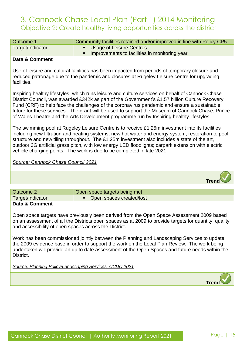| Outcome 1        | Community facilities retained and/or improved in line with Policy CP5 |
|------------------|-----------------------------------------------------------------------|
| Target/Indicator | • Usage of Leisure Centres                                            |
|                  | Improvements to facilities in monitoring year                         |

#### **Data & Comment**

Use of leisure and cultural facilities has been impacted from periods of temporary closure and reduced patronage due to the pandemic and closures at Rugeley Leisure centre for upgrading facilities.

Inspiring healthy lifestyles, which runs leisure and culture services on behalf of Cannock Chase District Council, was awarded £342k as part of the Government's £1.57 billion Culture Recovery Fund (CRF) to help face the challenges of the coronavirus pandemic and ensure a sustainable future for these services. The grant will be used to support the Museum of Cannock Chase, Prince of Wales Theatre and the Arts Development programme run by Inspiring healthy lifestyles.

The swimming pool at Rugeley Leisure Centre is to receive £1.25m investment into its facilities including new filtration and heating systems, new hot water and energy system, restoration to pool structure and new tiling throughout. The £1.25m investment also includes a state of the art, outdoor 3G artificial grass pitch, with low energy LED floodlights; carpark extension with electric vehicle charging points. The work is due to be completed in late 2021.

*Source: Cannock Chase Council 2021*



| Outcome 2        | Open space targets being met |
|------------------|------------------------------|
| Target/Indicator | • Open spaces created/lost   |
| Data & Comment   |                              |

Open space targets have previously been derived from the Open Space Assessment 2009 based on an assessment of all the Districts open spaces as at 2009 to provide targets for quantity, quality and accessibility of open spaces across the District.

Work has been commissioned jointly between the Planning and Landscaping Services to update the 2009 evidence base in order to support the work on the Local Plan Review. The work being undertaken will provide an up to date assessment of the Open Spaces and future needs within the District.

*Source: Planning Policy/Landscaping Services, CCDC 2021*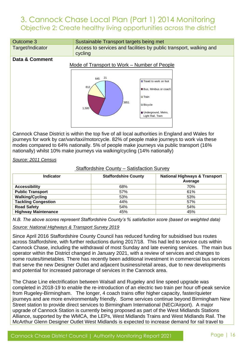

Cannock Chase District is within the top five of all local authorities in England and Wales for journeys for work by car/van/taxi/motorcycle. 82% of people make journeys to work via these modes compared to 64% nationally. 5% of people make journeys via public transport (16% nationally) whilst 10% make journeys via walking/cycling (14% nationally)

*Source: 2011 Census* 

#### Staffordshire County – Satisfaction Survey

| <b>Indicator</b>           | <b>Staffordshire County</b> | <b>National Highways &amp; Transport</b><br>Average |
|----------------------------|-----------------------------|-----------------------------------------------------|
| <b>Accessibility</b>       | 68%                         | 70%                                                 |
| <b>Public Transport</b>    | 57%                         | 61%                                                 |
| <b>Walking/Cycling</b>     | 53%                         | 53%                                                 |
| <b>Tackling Congestion</b> | 44%                         | 57%                                                 |
| <b>Road Safety</b>         | 54%                         | 54%                                                 |
| <b>Highway Maintenance</b> | 45%                         | 45%                                                 |

*N.B. The above scores represent Staffordshire County's % satisfaction score (based on weighted data)*

*Source: National Highways & Transport Survey 2019*

Since April 2016 Staffordshire County Council has reduced funding for subsidised bus routes across Staffordshire, with further reductions during 2017/18. This had led to service cuts within Cannock Chase, including the withdrawal of most Sunday and late evening services. The main bus operator within the District changed in January 2021, with a review of services and changes to some routes/timetables. There has recently been additional investment in commercial bus services that serve the new Designer Outlet and adjacent business/retail areas, due to new developments and potential for increased patronage of services in the Cannock area.

The Chase Line electrification between Walsall and Rugeley and line speed upgrade was completed in 2018-19 to enable the re-introduction of an electric two train per hour off-peak service from Rugeley-Birmingham. The longer, 4 coach trains offer higher capacity, faster/quieter journeys and are more environmentally friendly. Some services continue beyond Birmingham New Street station to provide direct services to Birmingham International (NEC/Airport). A major upgrade of Cannock Station is currently being proposed as part of the West Midlands Stations Alliance, supported by the WMCA, the LEPs, West Midlands Trains and West Midlands Rail. The McArthur Glenn Designer Outlet West Midlands is expected to increase demand for rail travel to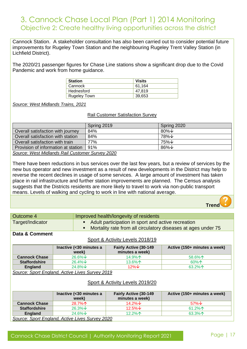Cannock Station. A stakeholder consultation has also been carried out to consider potential future improvements for Rugeley Town Station and the neighbouring Rugeley Trent Valley Station (in Lichfield District).

The 2020/21 passenger figures for Chase Line stations show a significant drop due to the Covid Pandemic and work from home guidance.

| <b>Station</b>      | <b>Visits</b> |
|---------------------|---------------|
| Cannock             | 61.164        |
| Hednesford          | 47.819        |
| <b>Rugeley Town</b> | 39,653        |

*Source: West Midlands Trains, 2021*

#### Rail Customer Satisfaction Survey

|                                                | Spring 2019 | Spring 2020         |
|------------------------------------------------|-------------|---------------------|
| Overall satisfaction with journey              | 84%         | 80% $\downarrow$    |
| Overall satisfaction with station              | 84%         | 78%↓                |
| Overall satisfaction with train                | 77%         | 75%↓                |
| Provision of information at station            | 91%         | $86\%$ $\downarrow$ |
| Course: Wort Midlande Deil Cuptomer Cup (2000) |             |                     |

*Source: West Midlands Rail Customer Survey 2020*

There have been reductions in bus services over the last few years, but a review of services by the new bus operator and new investment as a result of new developments in the District may help to reverse the recent declines in usage of some services. A large amount of investment has taken place in rail infrastructure and further station improvements are planned. The Census analysis suggests that the Districts residents are more likely to travel to work via non-public transport means. Levels of walking and cycling to work in line with national average.



| Outcome 4        | Improved health/longevity of residents                        |
|------------------|---------------------------------------------------------------|
| Target/Indicator | • Adult participation in sport and active recreation          |
|                  | Mortality rate from all circulatory diseases at ages under 75 |
|                  |                                                               |

#### **Data & Comment**

#### Sport & Activity Levels 2018/19

|                      | Inactive (<30 minutes a<br>week)              | Fairly Active (30-149<br>minutes a week) | Active (150+ minutes a week) |
|----------------------|-----------------------------------------------|------------------------------------------|------------------------------|
| <b>Cannock Chase</b> | $26.6\%$ $\vee$                               | 14.9% $\uparrow$                         | 58.6% $\uparrow$             |
| <b>Staffordshire</b> | $26.4\%$ $\vee$                               | 13.6% $\uparrow$                         | $60\%$ $\uparrow$            |
| <b>England</b>       | 24.8% $\downarrow$                            | $12\%$ $\downarrow$                      | 63.2% $\uparrow$             |
|                      | Course Creek England, Astro Lives Curren 0040 |                                          |                              |

*Source: Sport England, Active Lives Survey 2019*

#### Sport & Activity Levels 2019/20

|                      | Inactive (< 30 minutes a<br>week)               | Fairly Active (30-149<br>minutes a week) | Active (150+ minutes a week) |
|----------------------|-------------------------------------------------|------------------------------------------|------------------------------|
| <b>Cannock Chase</b> | $28.7\%$                                        | 14.2% $\downarrow$                       | $57\%$ $\vee$                |
| <b>Staffordshire</b> | $26.3\% \star$                                  | $12.5\%$ $\downarrow$                    | 61.2% $\uparrow$             |
| <b>England</b>       | 24.6% $\downarrow$                              | 12.2% $\uparrow$                         | 63.3% $\uparrow$             |
|                      | Source: Sport England, Active Lives Survey 2020 |                                          |                              |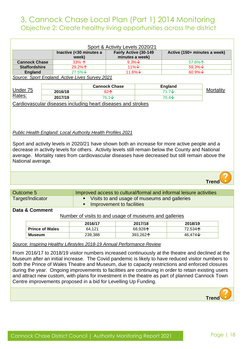| Sport & Activity Levels 2020/21                                                                                                                                                                                                                                                                                                                                                            |  |                                                                    |                                                              |                       |                              |                  |
|--------------------------------------------------------------------------------------------------------------------------------------------------------------------------------------------------------------------------------------------------------------------------------------------------------------------------------------------------------------------------------------------|--|--------------------------------------------------------------------|--------------------------------------------------------------|-----------------------|------------------------------|------------------|
|                                                                                                                                                                                                                                                                                                                                                                                            |  |                                                                    | Inactive (<30 minutes a                                      | Fairly Active (30-149 | Active (150+ minutes a week) |                  |
|                                                                                                                                                                                                                                                                                                                                                                                            |  |                                                                    | week)                                                        | minutes a week)       |                              |                  |
| <b>Cannock Chase</b>                                                                                                                                                                                                                                                                                                                                                                       |  |                                                                    | 33%个                                                         | $9.3\%$ $\sqrt{ }$    | 57.6%个                       |                  |
| <b>Staffordshire</b>                                                                                                                                                                                                                                                                                                                                                                       |  |                                                                    | 29.2%个                                                       | $11\%$ $\vee$         | 59.3%↓                       |                  |
| <b>England</b>                                                                                                                                                                                                                                                                                                                                                                             |  |                                                                    | $27.5\%$ $\sqrt{ }$                                          | 11.6%↓                | 60.9%↓                       |                  |
|                                                                                                                                                                                                                                                                                                                                                                                            |  |                                                                    | Source: Sport England, Active Lives Survey 2021              |                       |                              |                  |
|                                                                                                                                                                                                                                                                                                                                                                                            |  |                                                                    |                                                              |                       |                              |                  |
|                                                                                                                                                                                                                                                                                                                                                                                            |  |                                                                    |                                                              | <b>Cannock Chase</b>  | <b>England</b>               |                  |
| Under 75                                                                                                                                                                                                                                                                                                                                                                                   |  | 2016/18                                                            |                                                              | 82个                   | $71.7\text{V}$               | <b>Mortality</b> |
| Rates:                                                                                                                                                                                                                                                                                                                                                                                     |  | 2017/19                                                            |                                                              | 76.1↓                 | $70.4\text{V}$               |                  |
|                                                                                                                                                                                                                                                                                                                                                                                            |  |                                                                    | Cardiovascular diseases including heart diseases and strokes |                       |                              |                  |
| Public Health England: Local Authority Health Profiles 2021<br>Sport and activity levels in 2020/21 have shown both an increase for more active people and a<br>decrease in activity levels for others. Activity levels still remain below the County and National<br>average. Mortality rates from cardiovascular diseases have decreased but still remain above the<br>National average. |  |                                                                    |                                                              |                       |                              |                  |
|                                                                                                                                                                                                                                                                                                                                                                                            |  |                                                                    |                                                              |                       |                              | Trend            |
|                                                                                                                                                                                                                                                                                                                                                                                            |  |                                                                    |                                                              |                       |                              |                  |
| Outcome 5                                                                                                                                                                                                                                                                                                                                                                                  |  | Improved access to cultural/formal and informal leisure activities |                                                              |                       |                              |                  |
| Target/Indicator                                                                                                                                                                                                                                                                                                                                                                           |  | Visits to and usage of museums and galleries                       |                                                              |                       |                              |                  |

**■** Improvement to facilities

#### **Data & Comment**

Number of visits to and usage of museums and galleries

|                        | 2016/17 | 2017/18  | 2018/19             |
|------------------------|---------|----------|---------------------|
| <b>Prince of Wales</b> | 64.121  | 68.928个  | 72,534 <b>个</b>     |
| <b>Museum</b>          | 239,388 | 393.262个 | 46.474 $\downarrow$ |

#### *Source: Inspiring Healthy Lifestyles 2018-19 Annual Performance Review*

From 2016/17 to 2018/19 visitor numbers increased continuously at the theatre and declined at the Museum after an initial increase. The Covid pandemic is likely to have reduced visitor numbers to both the Prince of Wales Theatre and Museum, due to capacity restrictions and enforced closures during the year. Ongoing improvements to facilities are continuing in order to retain existing users and attract new custom, with plans for investment in the theatre as part of planned Cannock Town Centre improvements proposed in a bid for Levelling Up Funding.

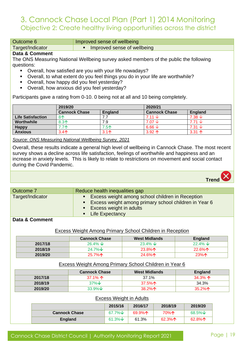Outcome 6 **Improved sense of wellbeing** 

Target/Indicator **Target**/Indicator **Target** Improved sense of wellbeing

#### **Data & Comment**

The ONS Measuring National Wellbeing survey asked members of the public the following questions:

- Overall, how satisfied are you with your life nowadays?
- Overall, to what extent do you feel things you do in your life are worthwhile?
- Overall, how happy did you feel yesterday?
- Overall, how anxious did you feel yesterday?

Participants gave a rating from 0-10. 0 being not at all and 10 being completely.

|                          | 2019/20              |                | 2020/21              |                            |
|--------------------------|----------------------|----------------|----------------------|----------------------------|
|                          | <b>Cannock Chase</b> | <b>England</b> | <b>Cannock Chase</b> | England                    |
| <b>Life Satisfaction</b> | $8^$                 |                | 7.11 $\downarrow$    | $7.38 \text{ } \downarrow$ |
| Worthwhile               | $8.3+$               | 7.9            | $7.07 \downarrow$    | 7.71 $\downarrow$          |
| <b>Happy</b>             | 7.7个                 | 7.5个           | 6.66 $\sqrt$         | 7.31 $\downarrow$          |
| <b>Anxious</b>           | $3.4^$               | $3.1^$         | $3.92 \uparrow$      | $3.31 \uparrow$            |

*Source: ONS Measuring National Wellbeing Survey, 2021*

Overall, these results indicate a general high level of wellbeing in Cannock Chase. The most recent survey shows a decline across life satisfaction, feelings of worthwhile and happiness and an increase in anxiety levels. This is likely to relate to restrictions on movement and social contact during the Covid Pandemic.



| Outcome 7        | Reduce health inequalities gap                                                                                                                                |
|------------------|---------------------------------------------------------------------------------------------------------------------------------------------------------------|
| Target/Indicator | Excess weight among school children in Reception<br>• Excess weight among primary school children in Year 6<br>■ Excess weight in adults<br>• Life Expectancy |
| $D = 1 - 0$      |                                                                                                                                                               |

#### **Data & Comment**

#### Excess Weight Among Primary School Children in Reception

|         | <b>Cannock Chase</b> | <b>West Midlands</b> | <b>England</b>   |
|---------|----------------------|----------------------|------------------|
| 2017/18 | 26.4% $\sqrt{ }$     | 23.4% $\downarrow$   | 22.4% $\sqrt{ }$ |
| 2018/19 | 24.7% $\vee$         | $23.8\%$             | $22.6\%$         |
| 2019/20 | 25.7% $\uparrow$     | 24.6%个               | 23%个             |

#### Excess Weight Among Primary School Children in Year 6

|         | <b>Cannock Chase</b> ∖ | <b>West Midlands</b> | England          |
|---------|------------------------|----------------------|------------------|
| 2017/18 | 37.1% $\uparrow$       | 37.1%                | 34.3% ^          |
| 2018/19 | $37\%$ $\vee$          | 37.5% $\Lambda$      | 34.3%            |
| 2019/20 | 33.9% $\downarrow$     | 38.2% $\Lambda$      | 35.2% $\uparrow$ |

#### Excess Weight in Adults

|                      | 2015/16                       | 2016/17          | 2018/19          | 2019/20          |
|----------------------|-------------------------------|------------------|------------------|------------------|
| <b>Cannock Chase</b> | $67.7\%$ $\sqrt{ }$           | 69.9% $\uparrow$ | 70%个             | $68.5\%$ $\vee$  |
| <b>England</b>       | $61.3\%$ $\sqrt{\phantom{0}}$ | 61.3%            | 62.3% $\uparrow$ | 62.8% $\uparrow$ |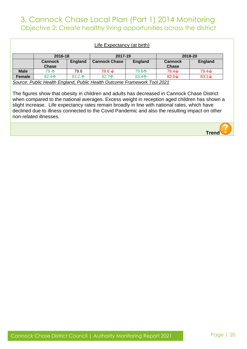| Life Expectancy (at birth)                                               |                                |                 |                      |                |                                |                |
|--------------------------------------------------------------------------|--------------------------------|-----------------|----------------------|----------------|--------------------------------|----------------|
|                                                                          | 2016-18                        |                 | 2017-19              |                |                                | 2018-20        |
|                                                                          | <b>Cannock</b><br><b>Chase</b> | <b>England</b>  | <b>Cannock Chase</b> | <b>England</b> | <b>Cannock</b><br><b>Chase</b> | <b>England</b> |
| <b>Male</b>                                                              | 79 个                           | 79.6            | $78.6 \text{ J}$     | <b>79.8个</b>   | $78.4\text{V}$                 | $79.4\text{V}$ |
| Female                                                                   | 82.4个                          | 83.2 $\uparrow$ | 82.7个                | 83.4个          | 82.6 $\downarrow$              | $83.1\text{V}$ |
| Source: Public Health England, Public Health Outcome Framework Tool 2021 |                                |                 |                      |                |                                |                |

The figures show that obesity in children and adults has decreased in Cannock Chase District when compared to the national averages. Excess weight in reception aged children has shown a slight increase. Life expectancy rates remain broadly in line with national rates, which have declined due to illness connected to the Covid Pandemic and also the resulting impact on other non-related illnesses.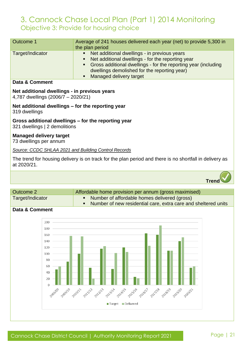### 3. Cannock Chase Local Plan (Part 1) 2014 Monitoring Objective 3: Provide for housing choice

| Outcome 1        | Average of 241 houses delivered each year (net) to provide 5,300 in                                                                                                                                                                                    |
|------------------|--------------------------------------------------------------------------------------------------------------------------------------------------------------------------------------------------------------------------------------------------------|
|                  | the plan period                                                                                                                                                                                                                                        |
| Target/Indicator | • Net additional dwellings - in previous years<br>• Net additional dwellings - for the reporting year<br>• Gross additional dwellings - for the reporting year (including<br>dwellings demolished for the reporting year)<br>• Managed delivery target |

#### **Data & Comment**

#### **Net additional dwellings - in previous years**

4,787 dwellings (2006/7 – 2020/21)

**Net additional dwellings – for the reporting year**  319 dwellings

#### **Gross additional dwellings – for the reporting year**

321 dwellings | 2 demolitions

#### **Managed delivery target**

73 dwellings per annum

#### *Source: CCDC SHLAA 2021 and Building Control Records*

The trend for housing delivery is on track for the plan period and there is no shortfall in delivery as at 2020/21.



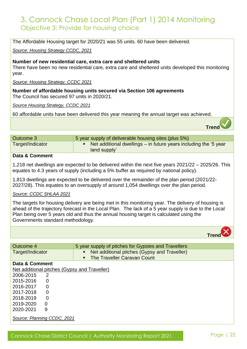### 3. Cannock Chase Local Plan (Part 1) 2014 Monitoring Objective 3: Provide for housing choice

The Affordable Housing target for 2020/21 was 55 units. 60 have been delivered.

*Source: Housing Strategy CCDC, 2021*

#### **Number of new residential care, extra care and sheltered units**

There have been no new residential care, extra care and sheltered units developed this monitoring year.

*Source: Housing Strategy, CCDC 2021*

**Number of affordable housing units secured via Section 106 agreements**  The Council has secured 97 units in 2020/21.

*Source Housing Strategy, CCDC 2021*

60 affordable units have been delivered this year meaning the annual target was achieved.

| Outcome 3        | 5 year supply of deliverable housing sites (plus 5%)                             |
|------------------|----------------------------------------------------------------------------------|
| Target/Indicator | Net additional dwellings – in future years including the '5 year<br>land supply' |
|                  |                                                                                  |

#### **Data & Comment**

1,218 net dwellings are expected to be delivered within the next five years 2021/22 – 2025/26. This equates to 4.3 years of supply (including a 5% buffer as required by national policy).

1,813 dwellings are expected to be delivered over the remainder of the plan period (2021/22- 2027/28). This equates to an oversupply of around 1,054 dwellings over the plan period.

#### *Source: CCDC SHLAA 2021*

The targets for housing delivery are being met in this monitoring year. The delivery of housing is ahead of the trajectory forecast in the Local Plan. The lack of a 5 year supply is due to the Local Plan being over 5 years old and thus the annual housing target is calculated using the Governments standard methodology.

|                             |                |                                                                | Tren |
|-----------------------------|----------------|----------------------------------------------------------------|------|
|                             |                |                                                                |      |
| Outcome 4                   |                | 5 year supply of pitches for Gypsies and Travellers            |      |
| Target/Indicator            |                | Net additional pitches (Gypsy and Traveller)<br>$\blacksquare$ |      |
|                             |                | The Traveller Caravan Count<br>$\blacksquare$                  |      |
| Data & Comment              |                |                                                                |      |
|                             |                | Net additional pitches (Gypsy and Traveller)                   |      |
| 2006-2015                   | 2              |                                                                |      |
| 2015-2016                   | 0              |                                                                |      |
| 2016-2017                   | 0              |                                                                |      |
| 2017-2018                   | 0              |                                                                |      |
| 2018-2019                   | $\overline{0}$ |                                                                |      |
| 2019-2020                   | $\Omega$       |                                                                |      |
| 2020-2021                   | 9              |                                                                |      |
| Source: Planning CCDC, 2021 |                |                                                                |      |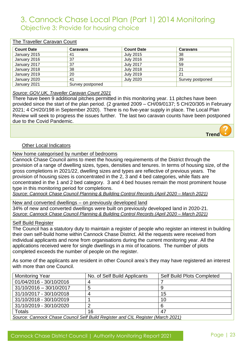### 3. Cannock Chase Local Plan (Part 1) 2014 Monitoring Objective 3: Provide for housing choice

#### The Traveller Caravan Count

| <b>Count Date</b> | <b>Caravans</b>  | <b>Count Date</b> | <b>Caravans</b>  |
|-------------------|------------------|-------------------|------------------|
| January 2015      | 41               | July 2015         | 38               |
| January 2016      | 37               | <b>July 2016</b>  | 39               |
| January 2017      | 37               | <b>July 2017</b>  | 59               |
| January 2018      | 38               | <b>July 2018</b>  | 21               |
| January 2019      | 20               | <b>July 2019</b>  | 21               |
| January 2020      | 41               | <b>July 2020</b>  | Survey postponed |
| January 2021      | Survey postponed |                   |                  |

#### *Source: GOV.UK, Traveller Caravan Count 2021*

There have been 9 additional pitches permitted in this monitoring year. 11 pitches have been provided since the start of the plan period. (2 granted 2009 – CH/09/0137; 5 CH/20/305 in February 2021; 4 CH/20/198 in September 2020). There is no five-year supply in place. The Local Plan Review will seek to progress the issues further. The last two caravan counts have been postponed due to the Covid Pandemic.



#### Other Local Indicators

New home categorised by number of bedrooms

Cannock Chase Council aims to meet the housing requirements of the District through the provision of a range of dwelling sizes, types, densities and tenures. In terms of housing size, of the gross completions in 2021/22, dwelling sizes and types are reflective of previous years. The provision of housing sizes is concentrated in the 2, 3 and 4 bed categories, while flats are concentrated in the 1 and 2 bed category. 3 and 4 bed houses remain the most prominent house type in this monitoring period for completions.

*Source: Cannock Chase Council Planning & Building Control Records (April 2020 – March 2021)*

New and converted dwellings – on previously developed land 34% of new and converted dwellings were built on previously developed land in 2020-21. *Source: Cannock Chase Council Planning & Building Control Records (April 2020 – March 2021)*

#### Self Build Register

The Council has a statutory duty to maintain a register of people who register an interest in building their own self-build home within Cannock Chase District. All the requests were received from individual applicants and none from organisations during the current monitoring year. All the applications received were for single dwellings in a mix of locations. The number of plots completed exceeds the number of people on the register.

As some of the applicants are resident in other Council area's they may have registered an interest with more than one Council.

| <b>Monitoring Year</b>                                                          | No. of Self Build Applicants | <b>Self Build Plots Completed</b> |
|---------------------------------------------------------------------------------|------------------------------|-----------------------------------|
| 01/04/2016 - 30/10/2016                                                         |                              |                                   |
| $31/10/2016 - 30/10/2017$                                                       | 5                            |                                   |
| 31/10/2017 - 30/10/2018                                                         |                              | 15                                |
| 31/10/2018 - 30/10/2019                                                         |                              | 10                                |
| 31/10/2019 - 30/10/2020                                                         |                              | 6                                 |
| Totals                                                                          | 16                           |                                   |
| Source: Cannock Chase Council Self Build Register and CIL Register (March 2021) |                              |                                   |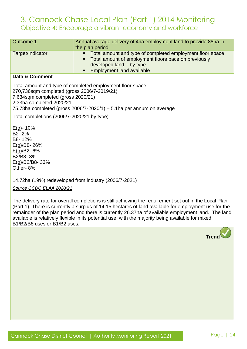| Outcome 1        | Annual average delivery of 4ha employment land to provide 88ha in<br>the plan period                                                                                                                  |
|------------------|-------------------------------------------------------------------------------------------------------------------------------------------------------------------------------------------------------|
| Target/Indicator | • Total amount and type of completed employment floor space<br>Total amount of employment floors pace on previously<br>developed land – by type<br><b>Employment land available</b><br>$\blacksquare$ |
| Data & Commont   |                                                                                                                                                                                                       |

#### **Data & Comment**

Total amount and type of completed employment floor space 270,736sqm completed (gross 2006/7-2019/21) 7,634sqm completed (gross 2020/21) 2.33ha completed 2020/21 75.78ha completed (gross 2006/7-2020/1) – 5.1ha per annum on average

Total completions (2006/7-2020/21 by type)

 $E(q) - 10%$ B2- 2% B8- 12% E(g)/B8- 26% E(g)/B2- 6% B2/B8- 3% E(g)/B2/B8- 33% Other- 8%

14.72ha (19%) redeveloped from industry (2006/7-2021)

*Source CCDC ELAA 2020/21*

The delivery rate for overall completions is still achieving the requirement set out in the Local Plan (Part 1). There is currently a surplus of 14.15 hectares of land available for employment use for the remainder of the plan period and there is currently 26.37ha of available employment land. The land available is relatively flexible in its potential use, with the majority being available for mixed B1/B2/B8 uses or B1/B2 uses.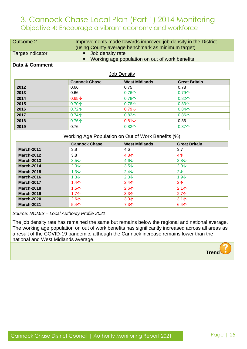| <b>Outcome 2</b>                                   |                      | Improvements made towards improved job density in the District<br>(using County average benchmark as minimum target) |                      |  |
|----------------------------------------------------|----------------------|----------------------------------------------------------------------------------------------------------------------|----------------------|--|
| Target/Indicator                                   | ٠                    | Job density rate<br>Working age population on out of work benefits                                                   |                      |  |
| Data & Comment                                     |                      |                                                                                                                      |                      |  |
|                                                    |                      | <b>Job Density</b>                                                                                                   |                      |  |
|                                                    | <b>Cannock Chase</b> | <b>West Midlands</b>                                                                                                 | <b>Great Britain</b> |  |
| 2012                                               | 0.66                 | 0.75                                                                                                                 | 0.78                 |  |
| 2013                                               | 0.66                 | $0.76+$                                                                                                              | $0.79+$              |  |
| 2014                                               | $0.65\text{V}$       | $0.78+$                                                                                                              | $0.82$ 个             |  |
| 2015                                               | $0.70+$              | $0.78+$                                                                                                              | $0.83+$              |  |
| 2016                                               | $0.72+$              | $0.79\sqrt{ }$                                                                                                       | $0.84+$              |  |
| 2017                                               | $0.74+$              | $0.82$ 个                                                                                                             | $0.86+$              |  |
| 2018                                               | $0.76+$              | $0.81\text{V}$                                                                                                       | 0.86                 |  |
| 2019                                               | 0.76                 | $0.82$ 个                                                                                                             | $0.87+$              |  |
| Working Age Population on Out of Work Benefits (%) |                      |                                                                                                                      |                      |  |
|                                                    | <b>Cannock Chase</b> | <b>West Midlands</b>                                                                                                 | <b>Great Britain</b> |  |
| <b>March-2011</b>                                  | 3.8                  | 4.6                                                                                                                  | 3.7                  |  |
| <b>March-2012</b>                                  | 3.8                  | $4.8+$                                                                                                               | 4 <sub>1</sub>       |  |
| <b>March-2013</b>                                  | $3.5\sqrt{ }$        | $4.6\text{V}$                                                                                                        | $3.8\text{V}$        |  |

**March-2014** 2.3  $\sqrt{2.3}$  2.3  $\sqrt{3.5}$  2.9  $\sqrt{2.9}$ **March-2015** 1.3  $\sqrt{2.4\sqrt{2}}$  2.4  $\sqrt{2.4\sqrt{2}}$  2.4 **March-2016** 1.3 2.3 2.3 2.3 2.3 2.3 2.4 **March-2017** 1.4个 2.4个 2.4个 2个 **March-2018** 1.5 2.6 2.1 **March-2019** 1.7 1.7 A **March-2020** 2.6 1 2.6 1 3.9 1 3.9 1 3.1 1 3.1 1 3.1 1 3.1 1 3.1 1 3.1 1 3.1 1 3.1 1 3.1 1 3.1 1 3.1 1 3.1 1 3.1 1 3.1 1 3.1 1 3.1 1 3.1 1 3.1 1 3.1 1 3.1 1 3.1 1 3.1 1 3.1 1 3.1 1 3.1 1 3.1 1 3.1 1 3.1 1 3.1 1 3.1 1 3.1 1 **March-2021** 5.4 **6.4 <b>6.4 6.4 <b>6.4 6.4 6.4 6.4 6.4 6.4 6.4 6.4 6.4 6.4 6.4 6.4 6.4 6.4 6.4 6.4 6.4 6.4 6.4 6.4 6.4 6.4 6.4 6.4 6.4 6.4 6.4 6.4 6.4 6.4 6.4 6.** 

#### *Source: NOMIS – Local Authority Profile 2021*

The job density rate has remained the same but remains below the regional and national average. The working age population on out of work benefits has significantly increased across all areas as a result of the COVID-19 pandemic, although the Cannock increase remains lower than the national and West Midlands average.

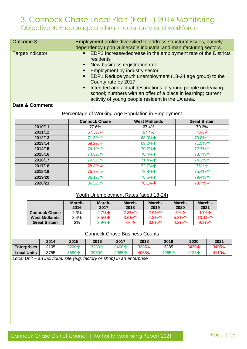| Outcome 3        | Employment profile diversified to address structural issues, namely<br>dependency upon vulnerable industrial and manufacturing sectors.                                                                                                                                                                                                                                                                                                                                                               |
|------------------|-------------------------------------------------------------------------------------------------------------------------------------------------------------------------------------------------------------------------------------------------------------------------------------------------------------------------------------------------------------------------------------------------------------------------------------------------------------------------------------------------------|
| Target/Indicator | EDP2 Increase/decrease in the employment rate of the Districts<br>$\blacksquare$ .<br>residents<br>• New business registration rate<br>Employment by industry sector<br>$\blacksquare$<br>EDP1 Reduce youth unemployment (18-24 age group) to the<br>$\blacksquare$ .<br>County rate by 2017<br>Intended and actual destinations of young people on leaving<br>$\blacksquare$ .<br>school; numbers with an offer of a place in learning; current<br>activity of young people resident in the LA area. |

#### **Data & Comment**

#### Percentage of Working Age Population in Employment

|         | <b>Cannock Chase</b> | <b>West Midlands</b> | <b>Great Britain</b> |
|---------|----------------------|----------------------|----------------------|
| 2010/11 | 77.6%                | 67.4%                | 70.2%                |
| 2011/12 | 67.3% $\downarrow$   | 67.4%                | $70\%$ $\vee$        |
| 2012/13 | 71.5%个               | 68.3%个               | 70.8%个               |
| 2013/14 | 69.2% $\downarrow$   | 69.2%个               | 71.5%个               |
| 2014/15 | 74.1%个               | 70.2%个               | 72.7%个               |
| 2015/16 | 74.8%个               | 70.4%个               | 73.7%个               |
| 2016/17 | 79.5%个               | 71.4%个               | 74.2%个               |
| 2017/18 | 78.8%↓               | 72.7%个               | 75%个                 |
| 2018/19 | $75.7\%$ $\sqrt{ }$  | 73.8%个               | 75.4%个               |
| 2019/20 | 86.1%个               | 78.5%个               | 79.4%个               |
| 2020/21 | 86.5%个               | 78.1%↓               | 78.7%↓               |

#### Youth Unemployment Rates (aged 18-24)

|                      | March-<br>2016 | March-<br>2017 | March-<br>2018  | March-<br>2019     | March-<br>2020  | March $-$<br>2021 |
|----------------------|----------------|----------------|-----------------|--------------------|-----------------|-------------------|
| <b>Cannock Chase</b> | $2.3\%$        | $2.7\%$        | $2.8\%$ 个       | 2.9%               | 5%              | 10%个              |
| <b>West Midlands</b> | 3.4%           | $3.5\%$ 个      | 3.6% $\uparrow$ | $4.3\%$ $\uparrow$ | 5.3% $\uparrow$ | 10.1% $\uparrow$  |
| <b>Great Britain</b> | 3%             | $2.9\% \star$  | 3%              | 3.6% $\uparrow$    | 4.2% $\uparrow$ | 9.1%              |

#### Cannock Chase Business Counts

|                    | 2014 | 2015  | 2016  | 2017  | 2018           | 2019  | 2020              | 2021              |
|--------------------|------|-------|-------|-------|----------------|-------|-------------------|-------------------|
| <b>Enterprises</b> | 3105 | 3220个 | 3280个 | 3400个 | $3385\text{V}$ | 3385  | 3430 $\downarrow$ | 3405 $\downarrow$ |
| Local Units        | 3755 | 3880个 | 3930个 | 4065个 | 4055↓          | 4065个 | 4135个             | 4110 $\vee$       |

*Local Unit – an individual site (e.g. factory or shop) in an enterprise*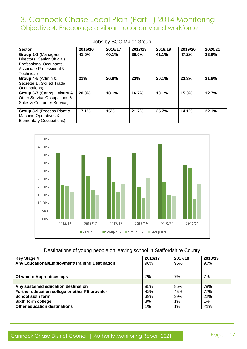|                                                                                                                           |         | Jobs by SOC Major Group |         |         |         |         |
|---------------------------------------------------------------------------------------------------------------------------|---------|-------------------------|---------|---------|---------|---------|
| <b>Sector</b>                                                                                                             | 2015/16 | 2016/17                 | 2017/18 | 2018/19 | 2019/20 | 2020/21 |
| Group 1-3 (Managers,<br>Directors, Senior Officials,<br>Professional Occupants,<br>Associate Professional &<br>Technical) | 41.5%   | 40.1%                   | 38.6%   | 41.1%   | 47.2%   | 33.6%   |
| Group 4-5 (Admin &<br>Secretarial, Skilled Trade<br>Occupations)                                                          | 21%     | 26.8%                   | 23%     | 20.1%   | 23.3%   | 31.6%   |
| Group 6-7 (Caring, Leisure &<br>Other Service Occupations &<br>Sales & Customer Service)                                  | 20.3%   | 18.1%                   | 16.7%   | 13.1%   | 15.3%   | 12.7%   |
| Group 8-9 (Process Plant &<br>Machine Operatives &<br><b>Elementary Occupations)</b>                                      | 17.1%   | 15%                     | 21.7%   | 25.7%   | 14.1%   | 22.1%   |



#### Destinations of young people on leaving school in Staffordshire County

| <b>Key Stage 4</b>                              | 2016/17 | 2017/18 | 2018/19 |
|-------------------------------------------------|---------|---------|---------|
| Any Educational/Employment/Training Destination | 96%     | 95%     | 90%     |
|                                                 |         |         |         |
| Of which: Apprenticeships                       | 7%      | 7%      | 7%      |
|                                                 |         |         |         |
| Any sustained education destination             | 85%     | 85%     | 78%     |
| Further education college or other FE provider  | 42%     | 45%     | 77%     |
| <b>School sixth form</b>                        | 39%     | 39%     | 22%     |
| Sixth form college                              | 3%      | $1\%$   | $1\%$   |
| Other education destinations                    | $1\%$   | $1\%$   | $1\%$   |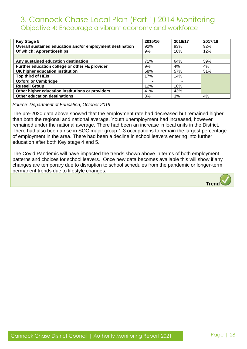| <b>Key Stage 5</b>                                        | 2015/16 | 2016/17 | 2017/18 |
|-----------------------------------------------------------|---------|---------|---------|
| Overall sustained education and/or employment destination | 92%     | 93%     | 92%     |
| Of which: Apprenticeships                                 | 9%      | 10%     | 12%     |
|                                                           |         |         |         |
| Any sustained education destination                       | 71%     | 64%     | 59%     |
| Further education college or other FE provider            | 9%      | 4%      | 4%      |
| UK higher education institution                           | 58%     | 57%     | 51%     |
| Top third of HEIs                                         | 17%     | 14%     |         |
| <b>Oxford or Cambridge</b>                                |         |         |         |
| <b>Russell Group</b>                                      | 12%     | 10%     |         |
| Other higher education institutions or providers          | 41%     | 43%     |         |
| Other education destinations                              | 3%      | 3%      | 4%      |

*Source: Department of Education, October 2019*

The pre-2020 data above showed that the employment rate had decreased but remained higher than both the regional and national average. Youth unemployment had increased, however remained under the national average. There had been an increase in local units in the District. There had also been a rise in SOC major group 1-3 occupations to remain the largest percentage of employment in the area. There had been a decline in school leavers entering into further education after both Key stage 4 and 5.

The Covid Pandemic will have impacted the trends shown above in terms of both employment patterns and choices for school leavers. Once new data becomes available this will show if any changes are temporary due to disruption to school schedules from the pandemic or longer-term permanent trends due to lifestyle changes.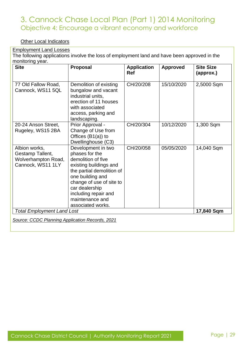#### Other Local Indicators

### Employment Land Losses

The following applications involve the loss of employment land and have been approved in the monitoring year.

| <b>Site</b>                                                                   | <b>Proposal</b>                                                                                                                                                                                                                                     | <b>Application</b><br><b>Ref</b> | <b>Approved</b> | <b>Site Size</b><br>(approx.) |
|-------------------------------------------------------------------------------|-----------------------------------------------------------------------------------------------------------------------------------------------------------------------------------------------------------------------------------------------------|----------------------------------|-----------------|-------------------------------|
| 77 Old Fallow Road,<br>Cannock, WS11 5QL                                      | Demolition of existing<br>bungalow and vacant<br>industrial units,<br>erection of 11 houses<br>with associated<br>access, parking and<br>landscaping.                                                                                               | CH/20/208                        | 15/10/2020      | 2,5000 Sqm                    |
| 20-24 Anson Street,<br>Rugeley, WS15 2BA                                      | Prior Approval -<br>Change of Use from<br>Offices $(B1(a))$ to<br>Dwellinghouse (C3)                                                                                                                                                                | CH/20/304                        | 10/12/2020      | 1,300 Sqm                     |
| Albion works,<br>Gestamp Tallent,<br>Wolverhampton Road,<br>Cannock, WS11 1LY | Development in two<br>phases for the<br>demolition of five<br>existing buildings and<br>the partial demolition of<br>one building and<br>change of use of site to<br>car dealership<br>including repair and<br>maintenance and<br>associated works. | CH/20/058                        | 05/05/2020      | 14,040 Sqm                    |
| <b>Total Employment Land Lost</b>                                             |                                                                                                                                                                                                                                                     |                                  |                 | 17,840 Sqm                    |
| Source: CCDC Planning Application Records, 2021                               |                                                                                                                                                                                                                                                     |                                  |                 |                               |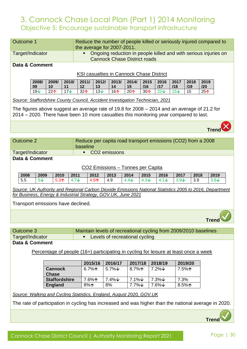### 3. Cannock Chase Local Plan (Part 1) 2014 Monitoring Objective 5: Encourage sustainable transport infrastructure

| <b>Outcome 1</b>                                                     |             |                                |                      |               |                  |                    |                            |                                     |               |                                                                                                                                                                                        |               |           |            |                                                                                                         |
|----------------------------------------------------------------------|-------------|--------------------------------|----------------------|---------------|------------------|--------------------|----------------------------|-------------------------------------|---------------|----------------------------------------------------------------------------------------------------------------------------------------------------------------------------------------|---------------|-----------|------------|---------------------------------------------------------------------------------------------------------|
|                                                                      |             |                                |                      |               |                  |                    | the average for 2007-2011. |                                     |               | Reduce the number of people killed or seriously injured compared to                                                                                                                    |               |           |            |                                                                                                         |
| Target/Indicator                                                     |             |                                |                      |               | ٠                |                    |                            | <b>Cannock Chase District roads</b> |               | Ongoing reduction in people killed and with serious injuries on                                                                                                                        |               |           |            |                                                                                                         |
| Data & Comment                                                       |             |                                |                      |               |                  |                    |                            |                                     |               |                                                                                                                                                                                        |               |           |            |                                                                                                         |
|                                                                      |             |                                |                      |               |                  |                    |                            |                                     |               | <b>KSI casualties in Cannock Chase District</b>                                                                                                                                        |               |           |            |                                                                                                         |
|                                                                      | 2008/       | 2009/                          | 2010/                |               | 2011/            | 2012/              | 2013/                      | 2014/                               | 2015          | 2016                                                                                                                                                                                   | 2017          | 2018      | 2019       |                                                                                                         |
|                                                                      | 09<br>19V   | 10<br>$22+$                    | 11<br>17V            |               | 12<br>32个        | 13<br>$13\sqrt{ }$ | 14<br>16个                  | 15<br>$20+$                         | /16<br>$30^$  | 117<br>22V                                                                                                                                                                             | /18<br>15V    | /19<br>15 | 120<br>25个 |                                                                                                         |
|                                                                      |             |                                |                      |               |                  |                    |                            |                                     |               |                                                                                                                                                                                        |               |           |            |                                                                                                         |
|                                                                      |             |                                |                      |               |                  |                    |                            |                                     |               | Source: Staffordshire County Council, Accident Investigation Technician, 2021                                                                                                          |               |           |            |                                                                                                         |
|                                                                      |             |                                |                      |               |                  |                    |                            |                                     |               | The figures above suggest an average rate of 19.8 for 2008 – 2014 and an average of 21.2 for<br>2014 – 2020. There have been 10 more casualties this monitoring year compared to last. |               |           |            |                                                                                                         |
|                                                                      |             |                                |                      |               |                  |                    |                            |                                     |               |                                                                                                                                                                                        |               |           |            | Trer                                                                                                    |
|                                                                      |             |                                |                      |               |                  |                    |                            |                                     |               |                                                                                                                                                                                        |               |           |            |                                                                                                         |
| <b>Outcome 2</b>                                                     |             |                                |                      |               | baseline         |                    |                            |                                     |               | Reduce per capita road transport emissions (CO2) from a 2008                                                                                                                           |               |           |            |                                                                                                         |
| Target/Indicator                                                     |             |                                |                      |               | $\blacksquare$   |                    | CO <sub>2</sub> emissions  |                                     |               |                                                                                                                                                                                        |               |           |            |                                                                                                         |
| Data & Comment                                                       |             |                                |                      |               |                  |                    |                            |                                     |               |                                                                                                                                                                                        |               |           |            |                                                                                                         |
|                                                                      |             |                                |                      |               |                  |                    |                            | CO2 Emissions - Tonnes per Capita   |               |                                                                                                                                                                                        |               |           |            |                                                                                                         |
| 2008                                                                 | 2009        |                                | 2010                 | 2011          | 2012             |                    | 2013                       | 2014                                | 2015          | 2016                                                                                                                                                                                   | 2017          | 2018      |            | 2019                                                                                                    |
| 5.5                                                                  | $5\sqrt{ }$ |                                | 5.3 <sub>1</sub>     | $4.7\text{V}$ | 4.9 <sub>1</sub> |                    | 4.9                        | $4.4\sqrt$                          | $4.3\sqrt{ }$ | $4.1\sqrt{ }$                                                                                                                                                                          | $3.9\text{V}$ | 3.9       |            | $3.6\text{V}$                                                                                           |
|                                                                      |             |                                |                      |               |                  |                    |                            |                                     |               |                                                                                                                                                                                        |               |           |            | Source: UK Authority and Regional Carbon Dioxide Emissions National Statistics 2005 to 2016, Department |
| for Business, Energy & Industrial Strategy, GOV.UK, June 2021        |             |                                |                      |               |                  |                    |                            |                                     |               |                                                                                                                                                                                        |               |           |            |                                                                                                         |
| Transport emissions have declined.                                   |             |                                |                      |               |                  |                    |                            |                                     |               |                                                                                                                                                                                        |               |           |            |                                                                                                         |
|                                                                      |             |                                |                      |               |                  |                    |                            |                                     |               |                                                                                                                                                                                        |               |           |            | <b>Trend</b>                                                                                            |
|                                                                      |             |                                |                      |               |                  |                    |                            |                                     |               |                                                                                                                                                                                        |               |           |            |                                                                                                         |
| <b>Outcome 3</b><br>Target/Indicator                                 |             |                                |                      |               | $\blacksquare$   |                    |                            | Levels of recreational cycling      |               | Maintain levels of recreational cycling from 2009/2010 baselines                                                                                                                       |               |           |            |                                                                                                         |
| Data & Comment                                                       |             |                                |                      |               |                  |                    |                            |                                     |               |                                                                                                                                                                                        |               |           |            |                                                                                                         |
|                                                                      |             |                                |                      |               |                  |                    |                            |                                     |               | Percentage of people (16+) participating in cycling for leisure at least once a week                                                                                                   |               |           |            |                                                                                                         |
|                                                                      |             |                                |                      |               |                  |                    |                            |                                     |               |                                                                                                                                                                                        |               |           |            |                                                                                                         |
|                                                                      |             |                                |                      |               | 2015/16          |                    | 2016/17                    | 2017/18                             |               | 2018/19                                                                                                                                                                                |               | 2019/20   |            |                                                                                                         |
|                                                                      |             | <b>Cannock</b><br><b>Chase</b> |                      |               | 6.7% $\uparrow$  |                    | $5.7\%$ $\forall$          | 8.7%个                               |               | $7.2\%$ $\vee$                                                                                                                                                                         |               | 7.5%个     |            |                                                                                                         |
|                                                                      |             |                                | <b>Staffordshire</b> |               | 7.6%个            |                    | 7.4%↓                      | 7.1%↓                               |               | 7.3%↓                                                                                                                                                                                  | 7.3%          |           |            |                                                                                                         |
|                                                                      |             | <b>England</b>                 |                      |               | 8%个              |                    | 8%                         | 7.7%↓                               |               | 7.6%↓                                                                                                                                                                                  |               | 8.5%个     |            |                                                                                                         |
| Source: Walking and Cycling Statistics, England, August 2020, GOV.UK |             |                                |                      |               |                  |                    |                            |                                     |               |                                                                                                                                                                                        |               |           |            |                                                                                                         |
|                                                                      |             |                                |                      |               |                  |                    |                            |                                     |               |                                                                                                                                                                                        |               |           |            | The rate of participation in cycling has increased and was higher than the national average in 2020.    |
|                                                                      |             |                                |                      |               |                  |                    |                            |                                     |               |                                                                                                                                                                                        |               |           | Trer       |                                                                                                         |
|                                                                      |             |                                |                      |               |                  |                    |                            |                                     |               |                                                                                                                                                                                        |               |           |            |                                                                                                         |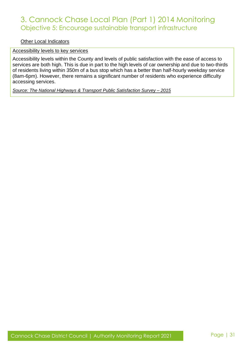### 3. Cannock Chase Local Plan (Part 1) 2014 Monitoring Objective 5: Encourage sustainable transport infrastructure

Other Local Indicators

#### Accessibility levels to key services

Accessibility levels within the County and levels of public satisfaction with the ease of access to services are both high. This is due in part to the high levels of car ownership and due to two-thirds of residents living within 350m of a bus stop which has a better than half-hourly weekday service (8am-6pm). However, there remains a significant number of residents who experience difficulty accessing services.

*Source: The National Highways & Transport Public Satisfaction Survey – 2015*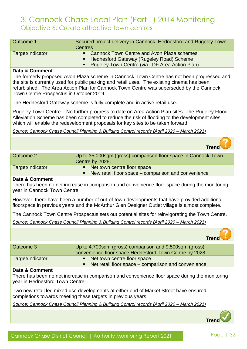### 3. Cannock Chase Local Plan (Part 1) 2014 Monitoring Objective 6: Create attractive town centres

| Outcome 1        | Secured project delivery in Cannock, Hednesford and Rugeley Town<br><b>Centres</b>                                                             |
|------------------|------------------------------------------------------------------------------------------------------------------------------------------------|
| Target/Indicator | • Cannock Town Centre and Avon Plaza schemes<br>• Hednesford Gateway (Rugeley Road) Scheme<br>• Rugeley Town Centre (via LDF Area Action Plan) |

#### **Data & Comment**

The formerly proposed Avon Plaza scheme in Cannock Town Centre has not been progressed and the site is currently used for public parking and retail uses. The existing cinema has been refurbished. The Area Action Plan for Cannock Town Centre was superseded by the Cannock Town Centre Prospectus in October 2019.

The Hednesford Gateway scheme is fully complete and in active retail use.

Rugeley Town Centre – No further progress to date on Area Action Plan sites. The Rugeley Flood Alleviation Scheme has been completed to reduce the risk of flooding to the development sites, which will enable the redevelopment proposals for key sites to be taken forward.

*Source: Cannock Chase Council Planning & Building Control records (April 2020 – March 2021)*

**Trend**

| Outcome 2        | Up to 35,000sqm (gross) comparison floor space in Cannock Town<br>Centre by 2028.      |
|------------------|----------------------------------------------------------------------------------------|
| Target/Indicator | • Net town centre floor space<br>• New retail floor space – comparison and convenience |
| Data & Comment   |                                                                                        |

There has been no net increase in comparison and convenience floor space during the monitoring year in Cannock Town Centre.

However, there have been a number of out-of-town developments that have provided additional floorspace in previous years and the McArthur Glen Designer Outlet village is almost complete.

The Cannock Town Centre Prospectus sets out potential sites for reinvigorating the Town Centre.

*Source: Cannock Chase Council Planning & Building Control records (April 2020 – March 2021)*

**Trend**

| Outcome 3        | Up to 4,700sqm (gross) comparison and 9,500sqm (gross)<br>convenience floor space Hednesford Town Centre by 2028. |
|------------------|-------------------------------------------------------------------------------------------------------------------|
| Target/Indicator | • Net town centre floor space<br>Net retail floor space – comparison and convenience                              |

#### **Data & Comment**

There has been no net increase in comparison and convenience floor space during the monitoring year in Hednesford Town Centre.

Two new retail led mixed use developments at either end of Market Street have ensured completions towards meeting these targets in previous years.

*Source: Cannock Chase Council Planning & Building Control records (April 2020 – March 2021)*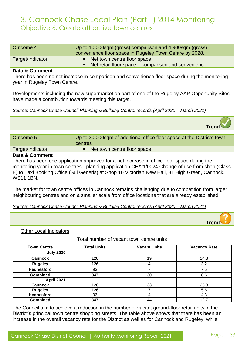### 3. Cannock Chase Local Plan (Part 1) 2014 Monitoring Objective 6: Create attractive town centres

| <b>Outcome 4</b>                                      | Up to 10,000sqm (gross) comparison and 4,900sqm (gross)                                          |
|-------------------------------------------------------|--------------------------------------------------------------------------------------------------|
|                                                       | convenience floor space in Rugeley Town Centre by 2028.                                          |
| Target/Indicator                                      | Net town centre floor space<br>$\blacksquare$                                                    |
|                                                       | Net retail floor space – comparison and convenience                                              |
| Data & Comment                                        |                                                                                                  |
| year in Rugeley Town Centre.                          | There has been no net increase in comparison and convenience floor space during the monitoring   |
| have made a contribution towards meeting this target. | Developments including the new supermarket on part of one of the Rugeley AAP Opportunity Sites   |
|                                                       | Source: Cannock Chase Council Planning & Building Control records (April 2020 - March 2021)      |
|                                                       |                                                                                                  |
| <b>Outcome 5</b>                                      | Up to 30,000sqm of additional office floor space at the Districts town                           |
|                                                       | centres                                                                                          |
| Target/Indicator                                      | Net town centre floor space<br>п.                                                                |
| Data & Comment                                        |                                                                                                  |
|                                                       |                                                                                                  |
|                                                       | There has been one application approved for a net increase in office floor space during the      |
|                                                       | monitoring year in town centres - planning application CH/21/0024 Change of use from shop (Class |
|                                                       | E) to Taxi Booking Office (Sui Generis) at Shop 10 Victorian New Hall, 81 High Green, Cannock,   |
| <b>WS11 1BN.</b>                                      |                                                                                                  |
|                                                       |                                                                                                  |
|                                                       | The market for town centre offices in Cannock remains challenging due to competition from larger |
|                                                       | neighbouring centres and on a smaller scale from office locations that are already established.  |
|                                                       | Source: Cannock Chase Council Planning & Building Control records (April 2020 - March 2021)      |
|                                                       | Tren                                                                                             |
| <b>Other Local Indicators</b>                         |                                                                                                  |
|                                                       | Total number of vacant town centre units                                                         |

| <b>Town Centre</b> | <b>Total Units</b> | <b>Vacant Units</b> | <b>Vacancy Rate</b> |
|--------------------|--------------------|---------------------|---------------------|
| <b>July 2020</b>   |                    |                     |                     |
| <b>Cannock</b>     | 128                | 19                  | 14.8                |
| <b>Rugeley</b>     | 126                | 4                   | 3.2                 |
| <b>Hednesford</b>  | 93                 |                     | 7.5                 |
| <b>Combined</b>    | 347                | 30                  | 8.6                 |
| <b>April 2021</b>  |                    |                     |                     |
| <b>Cannock</b>     | 128                | 33                  | 25.8                |
| <b>Rugeley</b>     | 126                |                     | 5.6                 |
| <b>Hednesford</b>  | 93                 | 4                   | 4.3                 |
| <b>Combined</b>    | 347                | 44                  | 12.7                |

The Council aim to achieve a reduction in the number of vacant ground-floor retail units in the District's principal town centre shopping streets. The table above shows that there has been an increase in the overall vacancy rate for the District as well as for Cannock and Rugeley, while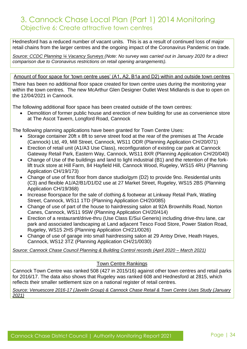### 3. Cannock Chase Local Plan (Part 1) 2014 Monitoring Objective 6: Create attractive town centres

Hednesford has a reduced number of vacant units. This is as a result of continued loss of major retail chains from the larger centres and the ongoing impact of the Coronavirus Pandemic on trade.

*Source: CCDC Planning ¼ Vacancy Surveys (Note: No survey was carried out in January 2020 for a direct comparison due to Coronavirus restrictions on retail opening arrangements).*

Amount of floor space for 'town centre uses' (A1, A2, B1a and D2) within and outside town centres

There has been no additional floor space created for town centre uses during the monitoring year within the town centres. The new McArthur Glen Designer Outlet West Midlands is due to open on the 12/04/2021 in Cannock.

The following additional floor space has been created outside of the town centres:

• Demolition of former public house and erection of new building for use as convenience store at The Ascot Tavern, Longford Road, Cannock

The following planning applications have been granted for Town Centre Uses:

- Storage container 20ft x 8ft to serve street food at the rear of the premises at The Arcade (Cannock) Ltd, 49, Mill Street, Cannock, WS11 ODR (Planning Application CH/20/071)
- Erection of retail unit (A1/A3 Use Class), reconfiguration of existing car park at Cannock Gateway Retail Park, Eastern Way, Cannock, WS11 8XR (Planning Application CH/20/040)
- Change of Use of the buildings and land to light industrial (B1) and the retention of the forklift truck store at Hill Farm, 84 Hayfield Hill, Cannock Wood, Rugeley, WS15 4RU (Planning Application CH/19/173)
- Change of use of first floor from dance studio/gym (D2) to provide 9no. Residential units (C3) and flexible A1/A2/B1/D1/D2 use at 27 Market Street, Rugeley, WS15 2BS (Planning Application CH/19/368)
- Increase floorspace for the sale of clothing & footwear at Linkway Retail Park, Watling Street, Cannock, WS11 1TD (Planning Application CH/20/085)
- Change of use of part of the house to hairdressing salon at 92A Brownhills Road, Norton Canes, Cannock, WS11 9SW (Planning Application CH/20/414)
- Erection of a restaurant/drive-thru (Use Class E/Sui Generis) including drive-thru lane, car park and associated landscaping at Land adjacent Tesco Food Store, Power Station Road, Rugeley, WS15 2HS (Planning Application CH/21/0026)
- Change of use of garage into small hairdressing salon at 29 Antsy Drive, Heath Hayes, Cannock, WS12 3TZ (Planning Application CH/21/0030)

*Source: Cannock Chase Council Planning & Building Control records (April 2020 – March 2021)*

#### Town Centre Rankings

Cannock Town Centre was ranked 508 (427 in 2015/16) against other town centres and retail parks for 2016/17. The data also shows that Rugeley was ranked 608 and Hednesford at 2815, which reflects their smaller settlement size on a national register of retail centres.

*Source: Venuescore 2016-17 (Javelin Group) & Cannock Chase Retail & Town Centre Uses Study (January 2021)*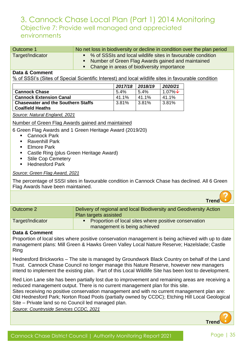| Outcome 1        | No net loss in biodiversity or decline in condition over the plan period                                                                                             |
|------------------|----------------------------------------------------------------------------------------------------------------------------------------------------------------------|
| Target/Indicator | • % of SSSIs and local wildlife sites in favourable condition<br>• Number of Green Flag Awards gained and maintained<br>• Change in areas of biodiversity importance |

#### **Data & Comment**

% of SSSI's (Sites of Special Scientific Interest) and local wildlife sites in favourable condition

|                                           | 2017/18 | 2018/19 | 2020/21      |
|-------------------------------------------|---------|---------|--------------|
| <b>Cannock Chase</b>                      | $5.4\%$ | $5.4\%$ | 1.07% $\vee$ |
| <b>Cannock Extension Canal</b>            | 41.1%   | 41.1%   | 41.1%        |
| <b>Chasewater and the Southern Staffs</b> | 3.81%   | 3.81%   | $3.81\%$     |
| <b>Coalfield Heaths</b>                   |         |         |              |

*Source: Natural England, 2021*

Number of Green Flag Awards gained and maintained

- 6 Green Flag Awards and 1 Green Heritage Award (2019/20)
	- Cannock Park
	- Ravenhill Park
	- Elmore Park
	- Castle Ring (plus Green Heritage Award)
	- Stile Cop Cemetery
	- Hednesford Park

#### *Source: Green Flag Award, 2021*

The percentage of SSSI sites in favourable condition in Cannock Chase has declined. All 6 Green Flag Awards have been maintained.

|                  | <b>Trend</b>                                                                                 |
|------------------|----------------------------------------------------------------------------------------------|
| Outcome 2        | Delivery of regional and local Biodiversity and Geodiversity Action<br>Plan targets assisted |
| Target/Indicator | Proportion of local sites where positive conservation<br>management is being achieved        |

#### **Data & Comment**

Proportion of local sites where positive conservation management is being achieved with up to date management plans: Mill Green & Hawks Green Valley Local Nature Reserve; Hazelslade; Castle Ring

Hednesford Brickworks – The site is managed by Groundwork Black Country on behalf of the Land Trust. Cannock Chase Council no longer manage this Nature Reserve, however new managers intend to implement the existing plan. Part of this Local Wildlife Site has been lost to development.

Red Lion Lane site has been partially lost due to improvement and remaining areas are receiving a reduced management output. There is no current management plan for this site.

Sites receiving no positive conservation management and with no current management plan are: Old Hednesford Park; Norton Road Pools (partially owned by CCDC); Etching Hill Local Geological Site – Private land so no Council led managed plan.

*Source: Countryside Services CCDC, 2021*

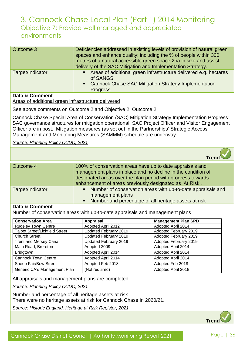| Outcome 3                 | Deficiencies addressed in existing levels of provision of natural green<br>spaces and enhance quality; including the % of people within 300<br>metres of a natural accessible green space 2ha in size and assist<br>delivery of the SAC Mitigation and Implementation Strategy. |
|---------------------------|---------------------------------------------------------------------------------------------------------------------------------------------------------------------------------------------------------------------------------------------------------------------------------|
| Target/Indicator          | Areas of additional green infrastructure delivered e.g. hectares<br>$\blacksquare$ .<br>of SANGS<br>• Cannock Chase SAC Mitigation Strategy Implementation<br><b>Progress</b>                                                                                                   |
| <b>Data &amp; Comment</b> |                                                                                                                                                                                                                                                                                 |

Areas of additional green infrastructure delivered

See above comments on Outcome 2 and Objective 2, Outcome 2.

Cannock Chase Special Area of Conservation (SAC) Mitigation Strategy Implementation Progress: SAC governance structures for mitigation operational. SAC Project Officer and Visitor Engagement Officer are in post. Mitigation measures (as set out in the Partnerships' Strategic Access Management and Monitoring Measures (SAMMM) schedule are underway.

*Source: Planning Policy CCDC, 2021*

|                  | <b>Trend</b>                                                                                                                                                                                                                                         |
|------------------|------------------------------------------------------------------------------------------------------------------------------------------------------------------------------------------------------------------------------------------------------|
| Outcome 4        | 100% of conservation areas have up to date appraisals and<br>management plans in place and no decline in the condition of<br>designated areas over the plan period with progress towards<br>enhancement of areas previously designated as 'At Risk'. |
| Target/Indicator | Number of conservation areas with up-to-date appraisals and<br>٠<br>management plans<br>Number and percentage of all heritage assets at risk<br>٠                                                                                                    |

#### **Data & Comment**

Number of conservation areas with up-to-date appraisals and management plans

| <b>Conservation Area</b>              | Appraisal             | <b>Management Plan SPD</b> |
|---------------------------------------|-----------------------|----------------------------|
| <b>Rugeley Town Centre</b>            | Adopted April 2012    | Adopted April 2014         |
| <b>Talbot Street/Lichfield Street</b> | Updated February 2019 | Adopted February 2019      |
| <b>Church Street</b>                  | Updated February 2019 | Adopted February 2019      |
| <b>Trent and Mersey Canal</b>         | Updated February 2019 | Adopted February 2019      |
| Main Road, Brereton                   | Adopted 2009          | Adopted April 2014         |
| <b>Bridgtown</b>                      | Adopted April 2014    | Adopted April 2014         |
| <b>Cannock Town Centre</b>            | Adopted April 2014    | Adopted April 2014         |
| Sheep Fair/Bow Street                 | Adopted Feb 2018      | Adopted Feb 2018           |
| Generic CA's Management Plan          | (Not required)        | Adopted April 2018         |

All appraisals and management plans are completed.

*Source: Planning Policy CCDC, 2021*

Number and percentage of all heritage assets at risk

There were no heritage assets at risk for Cannock Chase in 2020/21.

*Source: Historic England, Heritage at Risk Register, 2021*

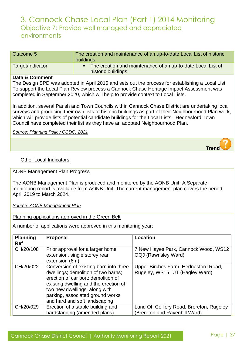| Outcome 5        | The creation and maintenance of an up-to-date Local List of historic<br>buildings.   |
|------------------|--------------------------------------------------------------------------------------|
| Target/Indicator | • The creation and maintenance of an up-to-date Local List of<br>historic buildings. |

#### **Data & Comment**

The Design SPD was adopted in April 2016 and sets out the process for establishing a Local List To support the Local Plan Review process a Cannock Chase Heritage Impact Assessment was completed in September 2020, which will help to provide context to Local Lists.

In addition, several Parish and Town Councils within Cannock Chase District are undertaking local surveys and producing their own lists of historic buildings as part of their Neighbourhood Plan work, which will provide lists of potential candidate buildings for the Local Lists. Hednesford Town Council have completed their list as they have an adopted Neighbourhood Plan.

*Source: Planning Policy CCDC, 2021*

Other Local Indicators

#### AONB Management Plan Progress

The AONB Management Plan is produced and monitored by the AONB Unit. A Separate monitoring report is available from AONB Unit. The current management plan covers the period April 2019 to March 2024.

#### *Source: AONB Management Plan*

#### Planning applications approved in the Green Belt

A number of applications were approved in this monitoring year:

| <b>Planning</b><br><b>Ref</b> | Proposal                                                                                                                                                                                                                                                            | <b>Location</b>                                                         |
|-------------------------------|---------------------------------------------------------------------------------------------------------------------------------------------------------------------------------------------------------------------------------------------------------------------|-------------------------------------------------------------------------|
| CH/20/108                     | Prior approval for a larger home<br>extension, single storey rear<br>extension (6m)                                                                                                                                                                                 | 7 New Hayes Park, Cannock Wood, WS12<br><b>OQJ (Rawnsley Ward)</b>      |
| CH/20/022                     | Conversion of existing barn into three<br>dwellings; demolition of two barns;<br>erection of car port; demolition of<br>existing dwelling and the erection of<br>two new dwellings, along with<br>parking, associated ground works<br>and hard and soft landscaping | Upper Birches Farm, Hednesford Road,<br>Rugeley, WS15 1JT (Hagley Ward) |
| CH/20/029                     | Erection of a stable building and                                                                                                                                                                                                                                   | Land Off Colliery Road, Brereton, Rugeley                               |
|                               | hardstanding (amended plans)                                                                                                                                                                                                                                        | (Brereton and Ravenhill Ward)                                           |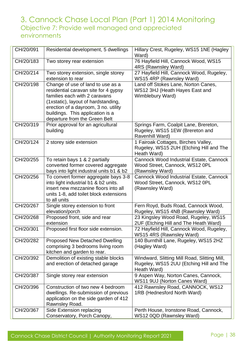| CH/20/091 | Residential development, 5 dwellings                                           | Hillary Crest, Rugeley, WS15 1NE (Hagley                                       |
|-----------|--------------------------------------------------------------------------------|--------------------------------------------------------------------------------|
| CH/20/183 | Two storey rear extension                                                      | Ward)<br>76 Hayfield Hill, Cannock Wood, WS15                                  |
|           |                                                                                | 4RS (Rawnsley Ward)                                                            |
| CH/20/214 | Two storey extension, single storey                                            | 27 Hayfield Hill, Cannock Wood, Rugeley,                                       |
|           | extension to rear                                                              | WS15 4RP (Rawnsley Ward)                                                       |
| CH/20/198 | Change of use of land to use as a                                              | Land off Stokes Lane, Norton Canes,                                            |
|           | residential caravan site for 4 gypsy<br>families each with 2 caravans          | WS12 3HJ (Heath Hayes East and                                                 |
|           | (1xstatic), layout of hardstanding,                                            | Wimblebury Ward)                                                               |
|           | erection of a dayroom, 3 no. utility                                           |                                                                                |
|           | buildings. This application is a                                               |                                                                                |
|           | departure from the Green Belt                                                  |                                                                                |
| CH/20/319 | Prior approval for an agricultural                                             | Springs Farm, Coalpit Lane, Brereton,                                          |
|           | building                                                                       | Rugeley, WS15 1EW (Brereton and                                                |
| CH/20/124 |                                                                                | Ravenhill Ward)                                                                |
|           | 2 storey side extension                                                        | 1 Fairoak Cottages, Birches Valley,<br>Rugeley, WS15 2UH (Etching Hill and The |
|           |                                                                                | Heath Ward)                                                                    |
| CH/20/255 | To retain bays 1 & 2 partially                                                 | <b>Cannock Wood Industrial Estate, Cannock</b>                                 |
|           | converted former covered aggregate                                             | Wood Street, Cannock, WS12 OPL                                                 |
|           | bays into light industral units b1 & b2                                        | (Rawnsley Ward)                                                                |
| CH/20/256 | To convert former aggregate bays 3-8                                           | Cannock Wood Industrial Estate, Cannock                                        |
|           | into light industrial b1 & b2 units.                                           | Wood Street, Cannock, WS12 OPL                                                 |
|           | insert new mezzanine floors into all<br>units 1-8, add toilet block extensions | (Rawnsley Ward)                                                                |
|           | to all units                                                                   |                                                                                |
| CH/20/267 | Single storey extension to front                                               | Fern Royd, Buds Road, Cannock Wood,                                            |
|           | elevation/porch                                                                | Rugeley, WS15 4NB (Rawnsley Ward)                                              |
| CH/20/268 | Proposed front, side and rear                                                  | 23 Kingsley Wood Road, Rugeley, WS15                                           |
|           | extension                                                                      | 2UF (Etching Hill and The Heath Ward)                                          |
| CH/20/301 | Proposed first floor side extension.                                           | 72 Hayfield Hill, Cannock Wood, Rugeley,<br>WS15 4RS (Rawnsley Ward)           |
| CH/20/282 | <b>Proposed New Detached Dwelling</b>                                          | 140 Burnthill Lane, Rugeley, WS15 2HZ                                          |
|           | comprising 3 bedrooms living room                                              | (Hagley Ward)                                                                  |
|           | kitchen and garden to rear.                                                    |                                                                                |
| CH/20/392 | Demolition of existing stable blocks                                           | Windward, Slitting Mill Road, Slitting Mill,                                   |
|           | and erection of detached garage                                                | Rugeley, WS15 2UU (Etching Hill and The                                        |
|           |                                                                                | Heath Ward)                                                                    |
| CH/20/387 | Single storey rear extension                                                   | 9 Aspen Way, Norton Canes, Cannock,<br>WS11 9UJ (Norton Canes Ward)            |
| CH/20/396 | Construction of two new 4 bedroom                                              | 412 Rawnsley Road, CANNOCK, WS12                                               |
|           | dwellings. Re-submission of previous                                           | 1RB (Hednesford North Ward)                                                    |
|           | application on the side garden of 412                                          |                                                                                |
|           | Rawnsley Road.                                                                 |                                                                                |
| CH/20/367 | Side Extension replacing                                                       | Perth House, Ironstone Road, Cannock,                                          |
|           | Conservatory, Porch Canopy,                                                    | WS12 0QD (Rawnsley Ward)                                                       |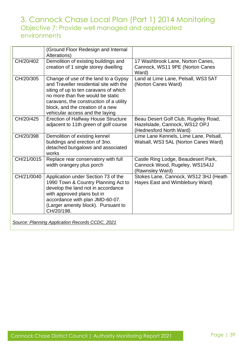|            | (Ground Floor Redesign and Internal<br>Alterations)                                                                                                                                                                                                                             |                                                                                                  |
|------------|---------------------------------------------------------------------------------------------------------------------------------------------------------------------------------------------------------------------------------------------------------------------------------|--------------------------------------------------------------------------------------------------|
| CH/20/402  | Demolition of existing buildings and<br>creation of 1 single storey dwelling                                                                                                                                                                                                    | 17 Washbrook Lane, Norton Canes,<br>Cannock, WS11 9PE (Norton Canes<br>Ward)                     |
| CH/20/305  | Change of use of the land to a Gypsy<br>and Traveller residential site with the<br>siting of up to ten caravans of which<br>no more than five would be static<br>caravans, the construction of a utility<br>block, and the creation of a new<br>vehicular access and the laying | Land at Lime Lane, Pelsall, WS3 5AT<br>(Norton Canes Ward)                                       |
| CH/20/425  | <b>Erection of Halfway House Structure</b><br>adjacent to 11th green of golf course                                                                                                                                                                                             | Beau Desert Golf Club, Rugeley Road,<br>Hazelslade, Cannock, WS12 OPJ<br>(Hednesford North Ward) |
| CH/20/398  | Demolition of existing kennel<br>buildings and erection of 3no.<br>detached bungalows and associated<br>works                                                                                                                                                                   | Lime Lane Kennels, Lime Lane, Pelsall,<br>Walsall, WS3 5AL (Norton Canes Ward)                   |
| CH/21/0015 | Replace rear conservatory with full<br>width orangery plus porch                                                                                                                                                                                                                | Castle Ring Lodge, Beaudesert Park,<br>Cannock Wood, Rugeley, WS154JJ<br>(Rawnsley Ward)         |
| CH/21/0040 | Application under Section 73 of the<br>1990 Town & Country Planning Act to<br>develop the land not in accordance<br>with approved plans but in<br>accordance with plan JMD-60-07.<br>(Larger amenity block). Pursuant to<br>CH/20/198.                                          | Stokes Lane, Cannock, WS12 3HJ (Heath<br>Hayes East and Wimblebury Ward)                         |
|            | Source: Planning Application Records CCDC, 2021                                                                                                                                                                                                                                 |                                                                                                  |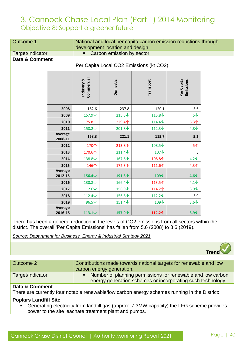| <b>Outcome 1</b> |                    | National and local per capita carbon emission reductions through<br>development location and design |                    |                 |                         |  |
|------------------|--------------------|-----------------------------------------------------------------------------------------------------|--------------------|-----------------|-------------------------|--|
| Target/Indicator |                    | Carbon emission by sector                                                                           |                    |                 |                         |  |
| Data & Comment   |                    | Per Capita Local CO2 Emissions (kt CO2)                                                             |                    |                 |                         |  |
|                  |                    |                                                                                                     |                    |                 |                         |  |
|                  |                    | Commercial<br>Industry &                                                                            | Domestic           | Transport       | Per Capita<br>Emissions |  |
|                  | 2008               | 182.6                                                                                               | 237.8              | 120.1           | 5.6                     |  |
|                  | 2009               | 157.9↓                                                                                              | $215.5\text{V}$    | 115.8↓          | $5\sqrt{ }$             |  |
|                  | 2010               | 175.8个                                                                                              | 229.4个             | $114.4\text{V}$ | $5.3+$                  |  |
|                  | 2011               | 158.2↓                                                                                              | $201.8\text{V}$    | $112.3\text{V}$ | $4.8\text{V}$           |  |
|                  | Average<br>2008-11 | 168.3                                                                                               | 221.1              | 115.7           | 5.2                     |  |
|                  | 2012               | 170个                                                                                                | 213.8个             | 108.5↓          | 5个                      |  |
|                  | 2013               | 170.6个                                                                                              | $211.4\text{V}$    | 107↓            | 5                       |  |
|                  | 2014               | 138.8↓                                                                                              | 167.6↓             | 108.8个          | $4.2\sqrt$              |  |
|                  | 2015               | 146个                                                                                                | 172.3个             | 111.6个          | 4.3 <sub>0</sub>        |  |
|                  | Average<br>2012-15 | 156.4 $\downarrow$                                                                                  | 191.3 $\downarrow$ | $109\sqrt{ }$   | $4.6\sqrt$              |  |
|                  | 2016               | 130.8↓                                                                                              | $166.4\text{V}$    | 113.5个          | $4.1\sqrt{ }$           |  |
|                  | 2017               | 112.6↓                                                                                              | 156.9↓             | 114.2个          | $3.9\text{V}$           |  |
|                  | 2018               | $112.4\text{V}$                                                                                     | 156.8↓             | 112.2↓          | 3.9                     |  |
|                  | 2019               | $96.5\text{V}$                                                                                      | 151.4↓             | 109V            | $3.6\text{V}$           |  |
|                  | Average<br>2016-15 | 113.1 $\downarrow$                                                                                  | 157.9↓             | 112.2个          | $3.9\sqrt{ }$           |  |

There has been a general reduction in the levels of CO2 emissions from all sectors within the district. The overall 'Per Capita Emissions' has fallen from 5.6 (2008) to 3.6 (2019).

*Source: Department for Business, Energy & Industrial Strategy 2021*

| Contributions made towards national targets for renewable and low<br>Outcome 2<br>carbon energy generation. |                  |                                                                                                                              |
|-------------------------------------------------------------------------------------------------------------|------------------|------------------------------------------------------------------------------------------------------------------------------|
|                                                                                                             |                  |                                                                                                                              |
|                                                                                                             | Target/Indicator | • Number of planning permissions for renewable and low carbon<br>energy generation schemes or incorporating such technology. |

#### **Data & Comment**

There are currently four notable renewable/low carbon energy schemes running in the District:

#### **Poplars Landfill Site**

▪ Generating electricity from landfill gas (approx. 7.3MW capacity) the LFG scheme provides power to the site leachate treatment plant and pumps.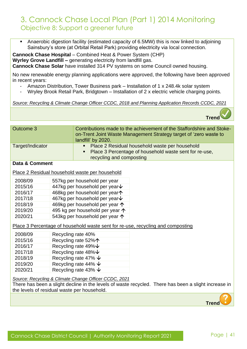■ Anaerobic digestion facility (estimated capacity of 6.5MW) this is now linked to adjoining Sainsbury's store (at Orbital Retail Park) providing electricity via local connection.

**Cannock Chase Hospital** – Combined Heat & Power System (CHP) **Wyrley Grove Landfill –** generating electricity from landfill gas. **Cannock Chase Solar** have installed 314 PV systems on some Council owned housing.

No new renewable energy planning applications were approved, the following have been approved in recent years:

- Amazon Distribution, Tower Business park Installation of 1 x 248.4k solar system
- Wryley Brook Retail Park, Bridgtown Installation of 2 x electric vehicle charging points.

#### *Source: Recycling & Climate Change Officer CCDC, 2018 and Planning Application Records CCDC, 2021*



| Outcome 3        |                                          | landfill' by 2020.                                    | Contributions made to the achievement of the Staffordshire and Stoke-<br>on-Trent Joint Waste Management Strategy target of 'zero waste to |
|------------------|------------------------------------------|-------------------------------------------------------|--------------------------------------------------------------------------------------------------------------------------------------------|
| Target/Indicator |                                          |                                                       | Place 2 Residual household waste per household                                                                                             |
|                  |                                          | recycling and composting                              | Place 3 Percentage of household waste sent for re-use,                                                                                     |
| Data & Comment   |                                          |                                                       |                                                                                                                                            |
|                  |                                          |                                                       |                                                                                                                                            |
|                  |                                          | Place 2 Residual household waste per household        |                                                                                                                                            |
| 2008/09          |                                          | 557kg per household per year                          |                                                                                                                                            |
| 2015/16          |                                          | 447kg per household per year $\bm{\downarrow}$        |                                                                                                                                            |
| 2016/17          |                                          | 468kg per household per year $\uparrow$               |                                                                                                                                            |
| 2017/18          |                                          | 467kg per household per year $\bm{\downarrow}$        |                                                                                                                                            |
| 2018/19          |                                          | 469kg per household per year $\uparrow$               |                                                                                                                                            |
| 2019/20          | 495 kg per household per year $\uparrow$ |                                                       |                                                                                                                                            |
| 2020/21          | 543kg per household per year $\uparrow$  |                                                       |                                                                                                                                            |
|                  |                                          |                                                       | Place 3 Percentage of household waste sent for re-use, recycling and composting                                                            |
| 2008/09          |                                          | Recycling rate 40%                                    |                                                                                                                                            |
| 2015/16          |                                          | Recycling rate 52%个                                   |                                                                                                                                            |
| 2016/17          |                                          | Recycling rate 49% V                                  |                                                                                                                                            |
| 2017/18          | Recycling rate $48\% \n\downarrow$       |                                                       |                                                                                                                                            |
| 2018/19          | Recycling rate 47% $\downarrow$          |                                                       |                                                                                                                                            |
| 2019/20          |                                          | Recycling rate 44% $\downarrow$                       |                                                                                                                                            |
| 2020/21          |                                          | Recycling rate 43% $\downarrow$                       |                                                                                                                                            |
|                  |                                          | Source: Recycling & Climate Change Officer CCDC, 2021 |                                                                                                                                            |

There has been a slight decline in the levels of waste recycled. There has been a slight increase in the levels of residual waste per household.

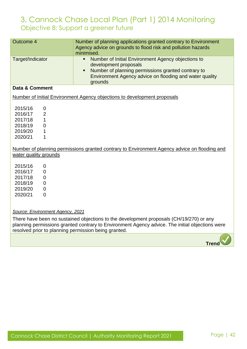| <b>Outcome 4</b>          | Number of planning applications granted contrary to Environment<br>Agency advice on grounds to flood risk and pollution hazards<br>minimised.                                                                             |
|---------------------------|---------------------------------------------------------------------------------------------------------------------------------------------------------------------------------------------------------------------------|
| Target/Indicator          | Number of Initial Environment Agency objections to<br>$\blacksquare$<br>development proposals<br>Number of planning permissions granted contrary to<br>Environment Agency advice on flooding and water quality<br>grounds |
| Data & Comment            |                                                                                                                                                                                                                           |
|                           | Number of Initial Environment Agency objections to development proposals                                                                                                                                                  |
|                           |                                                                                                                                                                                                                           |
| 2015/16<br>$\mathbf 0$    |                                                                                                                                                                                                                           |
| $\overline{2}$<br>2016/17 |                                                                                                                                                                                                                           |
| 2017/18<br>1              |                                                                                                                                                                                                                           |
| 2018/19<br>0              |                                                                                                                                                                                                                           |
| 2019/20<br>1              |                                                                                                                                                                                                                           |
| 2020/21<br>1              |                                                                                                                                                                                                                           |
|                           | Number of planning permissions granted contrary to Environment Agency advice on flooding and                                                                                                                              |
| water quality grounds     |                                                                                                                                                                                                                           |
| 2015/16<br>$\mathbf 0$    |                                                                                                                                                                                                                           |
| 2016/17<br>$\mathbf 0$    |                                                                                                                                                                                                                           |
| 2017/18<br>$\mathbf 0$    |                                                                                                                                                                                                                           |
| 2018/19<br>$\overline{0}$ |                                                                                                                                                                                                                           |
| 2019/20<br>$\overline{0}$ |                                                                                                                                                                                                                           |
| 2020/21<br>$\Omega$       |                                                                                                                                                                                                                           |
|                           |                                                                                                                                                                                                                           |
|                           |                                                                                                                                                                                                                           |

*Source: Environment Agency, 2021*

There have been no sustained objections to the development proposals (CH/19/270) or any planning permissions granted contrary to Environment Agency advice. The initial objections were resolved prior to planning permission being granted.

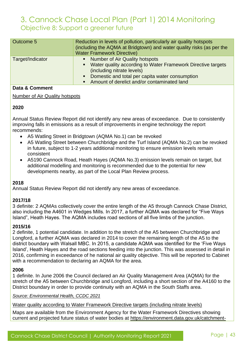| Outcome 5        | Reduction in levels of pollution, particularly air quality hotspots<br>(including the AQMA at Bridgtown) and water quality risks (as per the<br><b>Water Framework Directive)</b>                                                    |
|------------------|--------------------------------------------------------------------------------------------------------------------------------------------------------------------------------------------------------------------------------------|
| Target/Indicator | • Number of Air Quality hotspots<br>• Water quality according to Water Framework Directive targets<br>(including nitrate levels)<br>• Domestic and total per capita water consumption<br>Amount of derelict and/or contaminated land |

#### **Data & Comment**

#### Number of Air Quality hotspots

#### **2020**

Annual Status Review Report did not identify any new areas of exceedance. Due to consistently improving falls in emissions as a result of improvements in engine technology the report recommends:

- A5 Watling Street in Bridgtown (AQMA No.1) can be revoked
- A5 Watling Street between Churchbridge and the Turf Island (AQMA No.2) can be revoked in future, subject to 1-2 years additional monitoring to ensure emission levels remain consistent
- A5190 Cannock Road, Heath Hayes (AQMA No.3) emission levels remain on target, but additional modelling and monitoring is recommended due to the potential for new developments nearby, as part of the Local Plan Review process.

#### **2018**

Annual Status Review Report did not identify any new areas of exceedance.

#### **2017/18**

3 definite: 2 AQMAs collectively cover the entire length of the A5 through Cannock Chase District, also including the A4601 in Wedges Mills. In 2017, a further AQMA was declared for "Five Ways Island", Heath Hayes. The AQMA includes road sections of all five limbs of the junction.

#### **2015/16**

2 definite, 1 potential candidate. In addition to the stretch of the A5 between Churchbridge and Longford, a further AQMA was declared in 2014 to cover the remaining length of the A5 to the district boundary with Walsall MBC. In 2015, a candidate AQMA was identified for the 'Five Ways Island', Heath Hayes and the road sections feeding into the junction. This was assessed in detail in 2016, confirming in exceedance of he national air quality objective. This will be reported to Cabinet with a recommendation to declaring an AQMA for the area.

#### **2006**

1 definite. In June 2006 the Council declared an Air Quality Management Area (AQMA) for the stretch of the A5 between Churchbridge and Longford, including a short section of the A4160 to the District boundary in order to provide continuity with an AQMA in the South Staffs area.

*Source: Environmental Health, CCDC 2021*

Water quality according to Water Framework Directive targets (including nitrate levels)

Maps are available from the Environment Agency for the Water Framework Directives showing current and projected future status of water bodies at [https://environment.data.gov.uk/catchment-](https://environment.data.gov.uk/catchment-planning)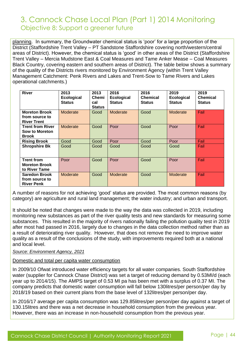[planning.](https://environment.data.gov.uk/catchment-planning) In summary, the Groundwater chemical status is 'poor' for a large proportion of the District (Staffordshire Trent Valley – PT Sandstone Staffordshire covering north/western/central areas of District). However, the chemical status is 'good' in other areas of the District (Staffordshire Trent Valley – Mercia Mudstone East & Coal Measures and Tame Anker Mease – Coal Measures Black Country, covering eastern and southern areas of District). The table below shows a summary of the quality of the Districts rivers monitored by Environment Agency (within Trent Valley Management Catchment: Penk Rivers and Lakes and Trent-Sow to Tame Rivers and Lakes operational catchments.)

| <b>River</b>                                                 | 2013<br><b>Ecological</b><br><b>Status</b> | 2013<br>Chemi<br>cal<br><b>Status</b> | 2016<br><b>Ecological</b><br><b>Status</b> | 2016<br><b>Chemical</b><br><b>Status</b> | 2019<br><b>Ecological</b><br><b>Status</b> | 2019<br><b>Chemical</b><br><b>Status</b> |
|--------------------------------------------------------------|--------------------------------------------|---------------------------------------|--------------------------------------------|------------------------------------------|--------------------------------------------|------------------------------------------|
| <b>Moreton Brook</b><br>from source to<br><b>River Trent</b> | Moderate                                   | Good                                  | Moderate                                   | Good                                     | Moderate                                   | Fail                                     |
| <b>Trent from River</b><br>Sow to Moreton<br><b>Brook</b>    | Moderate                                   | Good                                  | Poor                                       | Good                                     | Poor                                       | Fail                                     |
| <b>Rising Brook</b>                                          | Good                                       | Good                                  | Poor                                       | Good                                     | Poor                                       | Fail                                     |
| <b>Shropshire Bk</b>                                         | Good                                       | Good                                  | Good                                       | Good                                     | Good                                       | Fail                                     |
| <b>Trent from</b><br><b>Moreton Brook</b><br>to River Tame   | Poor                                       | Good                                  | Poor                                       | Good                                     | Poor                                       | Fail                                     |
| <b>Saredon Brook</b><br>from source to<br><b>River Penk</b>  | Moderate                                   | Good                                  | Moderate                                   | Good                                     | Moderate                                   | Fail                                     |

A number of reasons for not achieving 'good' status are provided. The most common reasons (by category) are agriculture and rural land management; the water industry; and urban and transport.

It should be noted that changes were made to the way the data was collected in 2019, including monitoring new substances as part of the river quality tests and new standards for measuring some substances. This resulted in the majority of rivers nationally failing the pollution quality test in 2019 after most had passed in 2016, largely due to changes in the data collection method rather than as a result of deteriorating river quality. However, that does not remove the need to improve water quality as a result of the conclusions of the study, with improvements required both at a national and local level.

#### *Source: Environment Agency, 2021*

#### Domestic and total per capita water consumption

In 2009/10 Ofwat introduced water efficiency targets for all water companies. South Staffordshire water (supplier for Cannock Chase District) was set a target of reducing demand by 0.53MI/d (each year up to 2014/15). The AMPS target of 0.53 MI pa has been met with a surplus of 0.37 MI. The company predicts that domestic water consumption will fall below 130litres/per person/per day by 2018/19 based on their current plans from the base level of 132litres/per person/per day.

In 2016/17 average per capita consumption was 129.85litres/per person/per day against a target of 130.15litres and there was a net decrease in household consumption from the previous year. However, there was an increase in non-household consumption from the previous year.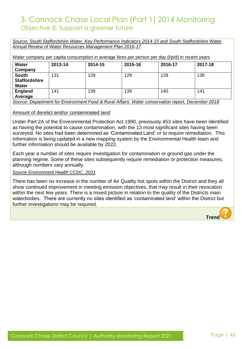*Source: South Staffordshire Water, Key Performance Indicators 2014-15 and South Staffordshire Water Annual Review of Water Resources Management Plan 2016-17*

Water company per capita consumption in average litres per person per day (I/p/d) in recent years

| <b>Water</b><br>Company                              | 2013-14 | 2014-15 | 2015-16 | 2016-17 | 2017-18 |
|------------------------------------------------------|---------|---------|---------|---------|---------|
| <b>South</b><br><b>Staffordshire</b><br><b>Water</b> | 131     | 129     | 129     | 128     | 130     |
| England<br>Average                                   | 141     | 139     | 139     | 140     | 141     |

*Source: Department for Environment Food & Rural Affairs: Water conservation report, December 2018*

#### Amount of derelict and/or contaminated land

Under Part 2A of the Environmental Protection Act 1990, previously 453 sites have been identified as having the potential to cause contamination, with the 13 most significant sites having been surveyed. No sites had been determined as 'Contaminated Land' or to require remediation. This information is being updated in a new mapping system by the Environmental Health team and further information should be available by 2022.

Each year a number of sites require investigation for contamination or ground gas under the planning regime. Some of these sites subsequently require remediation or protection measures, although numbers vary annually.

#### *Source Environment Health CCDC, 2021*

There has been no increase in the number of Air Quality hot spots within the District and they all show continued improvement in meeting emission objectives, that may result in their revocation within the next few years. There is a mixed picture in relation to the quality of the Districts main waterbodies. There are currently no sites identified as 'contaminated land' within the District but further investigations may be required.

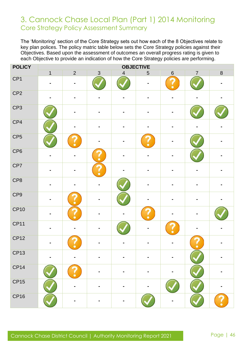### 3. Cannock Chase Local Plan (Part 1) 2014 Monitoring Core Strategy Policy Assessment Summary

The 'Monitoring' section of the Core Strategy sets out how each of the 8 Objectives relate to key plan polices. The policy matric table below sets the Core Strategy policies against their Objectives. Based upon the assessment of outcomes an overall progress rating is given to each Objective to provide an indication of how the Core Strategy policies are performing.

| <b>POLICY</b>   | <b>OBJECTIVE</b> |                |                |                |                  |             |                |                         |
|-----------------|------------------|----------------|----------------|----------------|------------------|-------------|----------------|-------------------------|
|                 | $\overline{1}$   | $\overline{2}$ | $\mathfrak{S}$ | $\overline{4}$ | 5                | $\,$ 6 $\,$ | $\overline{7}$ | $\overline{\textbf{8}}$ |
| CP <sub>1</sub> |                  |                |                |                |                  |             |                |                         |
| CP <sub>2</sub> |                  |                |                |                |                  |             |                |                         |
| CP <sub>3</sub> |                  | -              |                |                |                  |             |                |                         |
| CP4             |                  |                |                |                |                  |             |                |                         |
| CP <sub>5</sub> |                  |                |                |                |                  |             |                |                         |
| CP <sub>6</sub> |                  |                | $\bullet$      |                |                  |             |                |                         |
| CP7             | $\blacksquare$   |                |                |                |                  |             |                |                         |
| CP8             |                  |                |                |                |                  |             |                |                         |
| CP9             | $\blacksquare$   | $\bullet$      |                |                |                  |             |                |                         |
| <b>CP10</b>     |                  |                |                |                | $\ddot{\bullet}$ |             |                |                         |
| CP11            |                  |                |                |                |                  |             |                |                         |
| CP12            |                  |                |                |                |                  |             |                |                         |
| CP13            |                  |                |                |                |                  |             |                |                         |
| <b>CP14</b>     |                  |                |                |                |                  |             |                |                         |
| <b>CP15</b>     |                  |                |                |                |                  |             |                |                         |
| <b>CP16</b>     |                  |                |                |                |                  |             |                |                         |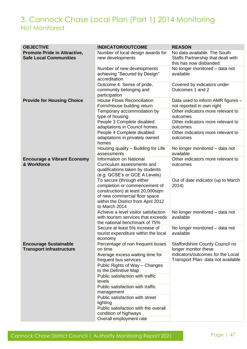### 3. Cannock Chase Local Plan (Part 1) 2014 Monitoring Not Monitored

| <b>OBJECTIVE</b>                    | <b>INDICATOR/OUTCOME</b>                                                     | <b>REASON</b>                                                  |
|-------------------------------------|------------------------------------------------------------------------------|----------------------------------------------------------------|
| <b>Promote Pride in Attractive,</b> | Number of local design awards for                                            | No data available. The South                                   |
| <b>Safe Local Communities</b>       | new developments                                                             | Staffs Partnership that dealt with                             |
|                                     |                                                                              | this has now disbanded                                         |
|                                     | Number of new developments<br>achieving "Secured by Design"<br>accreditation | No longer monitored - data not<br>available                    |
|                                     | Outcome 4: Sense of pride,                                                   | Covered by indicators under                                    |
|                                     | community belonging and<br>participation                                     | Outcomes 1 and 2                                               |
| <b>Provide for Housing Choice</b>   | <b>House Flows Reconciliation</b><br>Form/House building return              | Data used to inform AMR figures -<br>not reported in own right |
|                                     | Temporary accommodation by                                                   | Other indicators more relevant to                              |
|                                     | type of housing                                                              | outcomes                                                       |
|                                     | People 3 Complete disabled                                                   | Other indicators more relevant to                              |
|                                     | adaptations in Council homes                                                 | outcomes                                                       |
|                                     | People 4 Complete disabled                                                   | Other indicators more relevant to                              |
|                                     | adaptations in privately owned<br>homes                                      | outcomes                                                       |
|                                     | Housing quality - Building for Life                                          | No longer monitored - data not                                 |
|                                     | assessments                                                                  | available                                                      |
| <b>Encourage a Vibrant Economy</b>  | Information on National                                                      | Other indicators more relevant to                              |
| & Workforce                         | Curriculum assessments and                                                   | outcomes                                                       |
|                                     | qualifications taken by students                                             |                                                                |
|                                     | (e.g. GCSE's or GCE A Levels)                                                |                                                                |
|                                     | To secure (through either                                                    | Out of date indicator (up to March                             |
|                                     | completion or commencement of                                                | 2014)                                                          |
|                                     | construction) at least 20,000sqm                                             |                                                                |
|                                     | of new commercial floor space                                                |                                                                |
|                                     | within the District from April 2012                                          |                                                                |
|                                     | to March 2014                                                                |                                                                |
|                                     | Achieve a level visitor satisfaction                                         | No longer monitored - data not                                 |
|                                     | with tourism services that exceeds                                           | available                                                      |
|                                     | the national benchmark of 75%                                                |                                                                |
|                                     | Secure at least 5% increase of                                               | No longer monitored - data not                                 |
|                                     | tourist expenditure within the local                                         | available                                                      |
|                                     | economy                                                                      |                                                                |
| <b>Encourage Sustainable</b>        | Percentage of non frequent buses                                             | Staffordshire County Council no                                |
| <b>Transport Infrastructure</b>     | on time                                                                      | longer monitor these<br>indicators/outcomes for the Local      |
|                                     | Average excess waiting time for<br>frequent bus services                     | Transport Plan- data not available                             |
|                                     | Public Rights of Way - Changes<br>to the Definitive Map                      |                                                                |
|                                     | Public satisfaction with traffic                                             |                                                                |
|                                     | levels                                                                       |                                                                |
|                                     | Public satisfaction with traffic                                             |                                                                |
|                                     | management                                                                   |                                                                |
|                                     | Public satisfaction with street                                              |                                                                |
|                                     | lighting                                                                     |                                                                |
|                                     | Public satisfaction with the overall                                         |                                                                |
|                                     | condition of highways                                                        |                                                                |
|                                     | Overall employment rate                                                      |                                                                |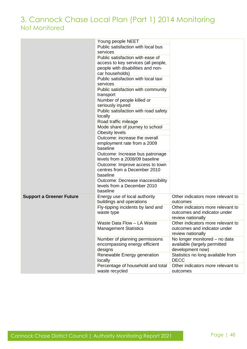### 3. Cannock Chase Local Plan (Part 1) 2014 Monitoring Not Monitored

|                                 | Young people NEET                    |                                   |
|---------------------------------|--------------------------------------|-----------------------------------|
|                                 | Public satisfaction with local bus   |                                   |
|                                 | services                             |                                   |
|                                 | Public satisfaction with ease of     |                                   |
|                                 | access to key services (all people,  |                                   |
|                                 | people with disabilities and non-    |                                   |
|                                 | car households)                      |                                   |
|                                 | Public satisfaction with local taxi  |                                   |
|                                 | services                             |                                   |
|                                 | Public satisfaction with community   |                                   |
|                                 | transport                            |                                   |
|                                 | Number of people killed or           |                                   |
|                                 | seriously injured                    |                                   |
|                                 | Public satisfaction with road safety |                                   |
|                                 | locally                              |                                   |
|                                 | Road traffic mileage                 |                                   |
|                                 | Mode share of journey to school      |                                   |
|                                 | Obesity levels                       |                                   |
|                                 | Outcome: increase the overall        |                                   |
|                                 | employment rate from a 2009          |                                   |
|                                 | baseline                             |                                   |
|                                 | Outcome: Increase bus patronage      |                                   |
|                                 | levels from a 2008/09 baseline       |                                   |
|                                 | Outcome: Improve access to town      |                                   |
|                                 | centres from a December 2010         |                                   |
|                                 | baseline                             |                                   |
|                                 | Outcome: Decrease inaccessibility    |                                   |
|                                 | levels from a December 2010          |                                   |
|                                 | baseline                             |                                   |
| <b>Support a Greener Future</b> | Energy use of local authority        | Other indicators more relevant to |
|                                 | buildings and operations             | outcomes                          |
|                                 | Fly-tipping incidents by land and    | Other indicators more relevant to |
|                                 | waste type                           | outcomes and indicator under      |
|                                 |                                      | review nationally                 |
|                                 | Waste Data Flow - LA Waste           | Other indicators more relevant to |
|                                 | <b>Management Statistics</b>         | outcomes and indicator under      |
|                                 |                                      | review nationally                 |
|                                 | Number of planning permissions       | No longer monitored - no data     |
|                                 | encompassing energy efficient        | available (largely permitted      |
|                                 | designs                              | development now)                  |
|                                 | Renewable Energy generation          | Statistics no long available from |
|                                 | locally                              | <b>DECC</b>                       |
|                                 | Percentage of household and total    | Other indicators more relevant to |
|                                 | waste recycled                       | outcomes                          |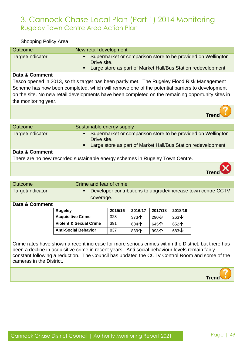#### Shopping Policy Area

| Outcome          | New retail development                                                                                                                       |
|------------------|----------------------------------------------------------------------------------------------------------------------------------------------|
| Target/Indicator | Supermarket or comparison store to be provided on Wellington<br>Drive site.<br>Large store as part of Market Hall/Bus Station redevelopment. |

#### **Data & Comment**

Tesco opened in 2013, so this target has been partly met. The Rugeley Flood Risk Management Scheme has now been completed, which will remove one of the potential barriers to development on the site. No new retail developments have been completed on the remaining opportunity sites in the monitoring year.

| Outcome          | Sustainable energy supply                                                                                                                       |
|------------------|-------------------------------------------------------------------------------------------------------------------------------------------------|
| Target/Indicator | • Supermarket or comparison store to be provided on Wellington<br>Drive site.<br>• Large store as part of Market Hall/Bus Station redevelopment |
| Data & Comment   |                                                                                                                                                 |
|                  | There are no new recorded sustainable energy schemes in Rugeley Town Centre.                                                                    |
|                  |                                                                                                                                                 |



**Trend**

| <b>Outcome</b>   | Crime and fear of crime                                      |
|------------------|--------------------------------------------------------------|
| Target/Indicator | Developer contributions to upgrade/increase town centre CCTV |
|                  | coverage.                                                    |
| _ _ _            |                                                              |

#### **Data & Comment**

| Rugeley                           | 2015/16 | 2016/17                | 2017/18               | 2018/19       |
|-----------------------------------|---------|------------------------|-----------------------|---------------|
| <b>Acquisitive Crime</b>          | 328     | 373 $\mathsf{\Lambda}$ | 290 $\bm{\downarrow}$ | 263 $\vee$    |
| <b>Violent &amp; Sexual Crime</b> | 391     | 604 $\uparrow$         | 645 $\uparrow$        | 652个          |
| <b>Anti-Social Behavior</b>       | 837     | 839 $\uparrow$         | 998 $\bigwedge$       | $683\text{V}$ |

Crime rates have shown a recent increase for more serious crimes within the District, but there has been a decline in acquisitive crime in recent years. Anti social behaviour levels remain fairly constant following a reduction. The Council has updated the CCTV Control Room and some of the cameras in the District.

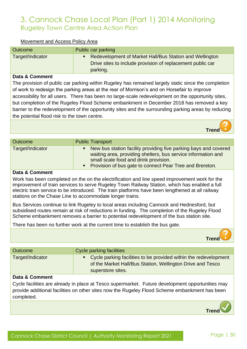| Movement and Access Policy Area |
|---------------------------------|
|---------------------------------|

| Outcome          | Public car parking                                         |
|------------------|------------------------------------------------------------|
| Target/Indicator | Redevelopment of Market Hall/Bus Station and Wellington    |
|                  | Drive sites to include provision of replacement public car |
|                  | parking.                                                   |

#### **Data & Comment**

The provision of public car parking within Rugeley has remained largely static since the completion of work to redesign the parking areas at the rear of Morrison's and on Horsefair to improve accessibility for all users. There has been no large-scale redevelopment on the opportunity sites, but completion of the Rugeley Flood Scheme embankment in December 2018 has removed a key barrier to the redevelopment of the opportunity sites and the surrounding parking areas by reducing the potential flood risk to the town centre.

Outcome Public Transport Target/Indicator **Target Target** Indicator **Target Example 20** New bus station facility providing five parking bays and covered waiting area, providing shelters, bus service information and small scale food and drink provision. **• Provision of bus gate to connect Pear Tree and Brereton.** 

#### **Data & Comment**

Work has been completed on the on the electrification and line speed improvement work for the improvement of train services to serve Rugeley Town Railway Station, which has enabled a full electric train service to be introduced. The train platforms have been lengthened at all railway stations on the Chase Line to accommodate longer trains.

Bus Services continue to link Rugeley to local areas including Cannock and Hednesford, but subsidised routes remain at risk of reductions in funding. The completion of the Rugeley Flood Scheme embankment removes a barrier to potential redevelopment of the bus station site.

There has been no further work at the current time to establish the bus gate.



 **Trend**

| Outcome          | <b>Cycle parking facilities</b>                                                                                                                       |
|------------------|-------------------------------------------------------------------------------------------------------------------------------------------------------|
| Target/Indicator | • Cycle parking facilities to be provided within the redevelopment<br>of the Market Hall/Bus Station, Wellington Drive and Tesco<br>superstore sites. |

#### **Data & Comment**

Cycle facilities are already in place at Tesco supermarket. Future development opportunities may provide additional facilities on other sites now the Rugeley Flood Scheme embankment has been completed.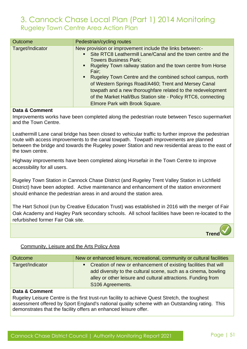| <b>Outcome</b>   | Pedestrian/cycling routes                                                                                                                                                                                                                                                                                                                                                                                                                                                                                                                                        |
|------------------|------------------------------------------------------------------------------------------------------------------------------------------------------------------------------------------------------------------------------------------------------------------------------------------------------------------------------------------------------------------------------------------------------------------------------------------------------------------------------------------------------------------------------------------------------------------|
| Target/Indicator | New provision or improvement include the links between:-<br>Site RTC8 Leathermill Lane/Canal and the town centre and the<br>$\blacksquare$<br><b>Towers Business Park;</b><br>Rugeley Town railway station and the town centre from Horse<br>$\blacksquare$<br>Fair;<br>Rugeley Town Centre and the combined school campus, north<br>٠<br>of Western Springs Road/A460; Trent and Mersey Canal<br>towpath and a new thoroughfare related to the redevelopment<br>of the Market Hall/Bus Station site - Policy RTC6, connecting<br>Elmore Park with Brook Square. |

#### **Data & Comment**

Improvements works have been completed along the pedestrian route between Tesco supermarket and the Town Centre.

Leathermill Lane canal bridge has been closed to vehicular traffic to further improve the pedestrian route with access improvements to the canal towpath. Towpath improvements are planned between the bridge and towards the Rugeley power Station and new residential areas to the east of the town centre.

Highway improvements have been completed along Horsefair in the Town Centre to improve accessibility for all users.

Rugeley Town Station in Cannock Chase District (and Rugeley Trent Valley Station in Lichfield District) have been adopted. Active maintenance and enhancement of the station environment should enhance the pedestrian areas in and around the station area.

The Hart School (run by Creative Education Trust) was established in 2016 with the merger of Fair Oak Academy and Hagley Park secondary schools. All school facilities have been re-located to the refurbished former Fair Oak site.



#### Community, Leisure and the Arts Policy Area

| <b>Outcome</b>   | New or enhanced leisure, recreational, community or cultural facilities                                                                                                                                                  |
|------------------|--------------------------------------------------------------------------------------------------------------------------------------------------------------------------------------------------------------------------|
| Target/Indicator | • Creation of new or enhancement of existing facilities that will<br>add diversity to the cultural scene, such as a cinema, bowling<br>alley or other leisure and cultural attractions. Funding from<br>S106 Agreements. |

#### **Data & Comment**

Rugeley Leisure Centre is the first trust-run facility to achieve Quest Stretch, the toughest assessment offered by Sport England's national quality scheme with an Outstanding rating. This demonstrates that the facility offers an enhanced leisure offer.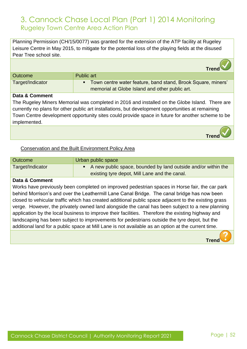Planning Permission (CH/15/0077) was granted for the extension of the ATP facility at Rugeley Leisure Centre in May 2015, to mitigate for the potential loss of the playing fields at the disused Pear Tree school site.  **Trend** Outcome Public art Target/Indicator **Target/Indicator Target/Indicator Target/Indicator Target/Indicator Target/Indicator Target/Indicator Target/Indicator Target/Indicator Target/Indicator Target/Indicator Target/Indicat** memorial at Globe Island and other public art.

#### **Data & Comment**

The Rugeley Miners Memorial was completed in 2016 and installed on the Globe Island. There are currently no plans for other public art installations, but development opportunities at remaining Town Centre development opportunity sites could provide space in future for another scheme to be implemented.

#### Conservation and the Built Environment Policy Area

| <b>Outcome</b>   | Urban public space                                              |
|------------------|-----------------------------------------------------------------|
| Target/Indicator | • A new public space, bounded by land outside and/or within the |
|                  | existing tyre depot, Mill Lane and the canal.                   |

#### **Data & Comment**

Works have previously been completed on improved pedestrian spaces in Horse fair, the car park behind Morrison's and over the Leathermill Lane Canal Bridge. The canal bridge has now been closed to vehicular traffic which has created additional public space adjacent to the existing grass verge. However, the privately owned land alongside the canal has been subject to a new planning application by the local business to improve their facilities. Therefore the existing highway and landscaping has been subject to improvements for pedestrians outside the tyre depot, but the additional land for a public space at Mill Lane is not available as an option at the current time.

 **Trend**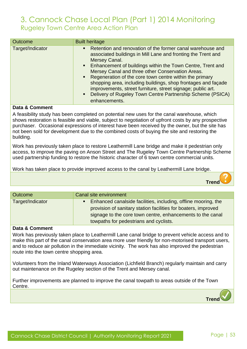| <b>Outcome</b>   | <b>Built heritage</b>                                                                                                                                                                                                                                                                                                                                                                                                                                                                                                                                                                           |
|------------------|-------------------------------------------------------------------------------------------------------------------------------------------------------------------------------------------------------------------------------------------------------------------------------------------------------------------------------------------------------------------------------------------------------------------------------------------------------------------------------------------------------------------------------------------------------------------------------------------------|
| Target/Indicator | Retention and renovation of the former canal warehouse and<br>$\blacksquare$<br>associated buildings in Mill Lane and fronting the Trent and<br>Mersey Canal.<br>Enhancement of buildings within the Town Centre, Trent and<br>$\blacksquare$<br>Mersey Canal and three other Conservation Areas.<br>• Regeneration of the core town centre within the primary<br>shopping area, including buildings, shop frontages and façade<br>improvements, street furniture, street signage; public art.<br>Delivery of Rugeley Town Centre Partnership Scheme (PSICA)<br>$\blacksquare$<br>enhancements. |

#### **Data & Comment**

A feasibility study has been completed on potential new uses for the canal warehouse, which shows restoration is feasible and viable, subject to negotiation of upfront costs by any prospective purchaser. Occasional expressions of interest have been received by the owner, but the site has not been sold for development due to the combined costs of buying the site and restoring the building.

Work has previously taken place to restore Leathermill Lane bridge and make it pedestrian only access, to improve the paving on Anson Street and The Rugeley Town Centre Partnership Scheme used partnership funding to restore the historic character of 6 town centre commercial units.

Work has taken place to provide improved access to the canal by Leathermill Lane bridge.

| <b>Outcome</b>   | Canal site environment                                                                                                                                                                                                                                     |
|------------------|------------------------------------------------------------------------------------------------------------------------------------------------------------------------------------------------------------------------------------------------------------|
| Target/Indicator | Enhanced canalside facilities, including, offline mooring, the<br>$\blacksquare$<br>provision of sanitary station facilities for boaters, improved<br>signage to the core town centre, enhancements to the canal<br>towpaths for pedestrians and cyclists. |

#### **Data & Comment**

Work has previously taken place to Leathermill Lane canal bridge to prevent vehicle access and to make this part of the canal conservation area more user friendly for non-motorised transport users, and to reduce air pollution in the immediate vicinity. The work has also improved the pedestrian route into the town centre shopping area.

Volunteers from the Inland Waterways Association (Lichfield Branch) regularly maintain and carry out maintenance on the Rugeley section of the Trent and Mersey canal.

Further improvements are planned to improve the canal towpath to areas outside of the Town Centre.

 **Trend**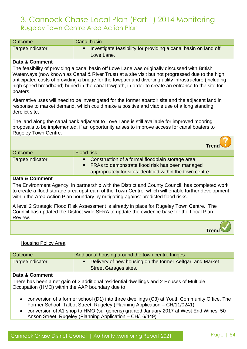| <b>Outcome</b>   | Canal basin |                                                                 |
|------------------|-------------|-----------------------------------------------------------------|
| Target/Indicator |             | Investigate feasibility for providing a canal basin on land off |
|                  |             | Love Lane.                                                      |

#### **Data & Comment**

The feasibility of providing a canal basin off Love Lane was originally discussed with British Waterways (now known as Canal & River Trust) at a site visit but not progressed due to the high anticipated costs of providing a bridge for the towpath and diverting utility infrastructure (including high speed broadband) buried in the canal towpath, in order to create an entrance to the site for boaters.

Alternative uses will need to be investigated for the former abattoir site and the adjacent land in response to market demand, which could make a positive and viable use of a long standing, derelict site.

The land along the canal bank adjacent to Love Lane is still available for improved mooring proposals to be implemented, if an opportunity arises to improve access for canal boaters to Rugeley Town Centre.

|                  | <b>Trend C</b>                                                                                           |
|------------------|----------------------------------------------------------------------------------------------------------|
| <b>Outcome</b>   | <b>Flood risk</b>                                                                                        |
| Target/Indicator | • Construction of a formal floodplain storage area.<br>• FRAs to demonstrate flood risk has been managed |
|                  | appropriately for sites identified within the town centre.                                               |

#### **Data & Comment**

The Environment Agency, in partnership with the District and County Council, has completed work to create a flood storage area upstream of the Town Centre, which will enable further development within the Area Action Plan boundary by mitigating against predicted flood risks.

A level 2 Strategic Flood Risk Assessment is already in place for Rugeley Town Centre. The Council has updated the District wide SFRA to update the evidence base for the Local Plan Review.



#### Housing Policy Area

| Outcome          | Additional housing around the town centre fringes         |
|------------------|-----------------------------------------------------------|
| Target/Indicator | Delivery of new housing on the former Aelfgar, and Market |
|                  | <b>Street Garages sites.</b>                              |

#### **Data & Comment**

There has been a net gain of 2 additional residential dwellings and 2 Houses of Multiple Occupation (HMO) within the AAP boundary due to:

- conversion of a former school (D1) into three dwellings (C3) at Youth Community Office, The Former School, Talbot Street, Rugeley (Planning Application – CH/11/0241)
- conversion of A1 shop to HMO (sui generis) granted January 2017 at West End Wines, 50 Anson Street, Rugeley (Planning Application – CH/16/449)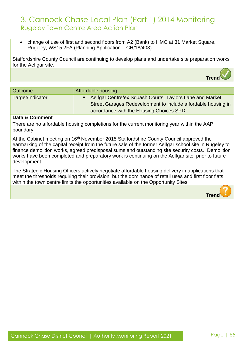• change of use of first and second floors from A2 (Bank) to HMO at 31 Market Square, Rugeley, WS15 2FA (Planning Application – CH/18/403)

Staffordshire County Council are continuing to develop plans and undertake site preparation works for the Aelfgar site.

| Outcome          | Affordable housing                                                                                                                                                      |
|------------------|-------------------------------------------------------------------------------------------------------------------------------------------------------------------------|
| Target/Indicator | • Aelfgar Centre/ex Squash Courts, Taylors Lane and Market<br>Street Garages Redevelopment to include affordable housing in<br>accordance with the Housing Choices SPD. |

#### **Data & Comment**

There are no affordable housing completions for the current monitoring year within the AAP boundary.

At the Cabinet meeting on 16<sup>th</sup> November 2015 Staffordshire County Council approved the earmarking of the capital receipt from the future sale of the former Aelfgar school site in Rugeley to finance demolition works, agreed predisposal sums and outstanding site security costs. Demolition works have been completed and preparatory work is continuing on the Aelfgar site, prior to future development.

The Strategic Housing Officers actively negotiate affordable housing delivery in applications that meet the thresholds requiring their provision, but the dominance of retail uses and first floor flats within the town centre limits the opportunities available on the Opportunity Sites.

 **Trend**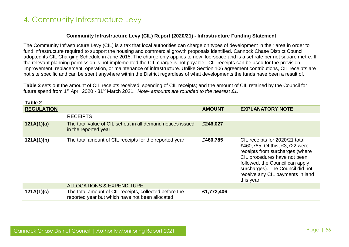**Table 2**

#### **Community Infrastructure Levy (CIL) Report (2020/21) - Infrastructure Funding Statement**

The Community Infrastructure Levy (CIL) is a tax that local authorities can charge on types of development in their area in order to fund infrastructure required to support the housing and commercial growth proposals identified. Cannock Chase District Council adopted its CIL Charging Schedule in June 2015. The charge only applies to new floorspace and is a set rate per net square metre. If the relevant planning permission is not implemented the CIL charge is not payable. CIL receipts can be used for the provision, improvement, replacement, operation, or maintenance of infrastructure. Unlike Section 106 agreement contributions, CIL receipts are not site specific and can be spent anywhere within the District regardless of what developments the funds have been a result of.

**Table 2** sets out the amount of CIL receipts received; spending of CIL receipts; and the amount of CIL retained by the Council for future spend from 1st April 2020 - 31st March 2021. *Note- amounts are rounded to the nearest £1.*

| able z            |                                                                                                           |               |                                                                                                                                                                                                                                                              |
|-------------------|-----------------------------------------------------------------------------------------------------------|---------------|--------------------------------------------------------------------------------------------------------------------------------------------------------------------------------------------------------------------------------------------------------------|
| <b>REGULATION</b> |                                                                                                           | <b>AMOUNT</b> | <b>EXPLANATORY NOTE</b>                                                                                                                                                                                                                                      |
|                   | <b>RECEIPTS</b>                                                                                           |               |                                                                                                                                                                                                                                                              |
| 121A(1)(a)        | The total value of CIL set out in all demand notices issued<br>in the reported year                       | £246,027      |                                                                                                                                                                                                                                                              |
| 121A(1)(b)        | The total amount of CIL receipts for the reported year                                                    | £460,785      | CIL receipts for 2020/21 total<br>£460,785. Of this, £3,722 were<br>receipts from surcharges (where<br>CIL procedures have not been<br>followed, the Council can apply<br>surcharges). The Council did not<br>receive any CIL payments in land<br>this year. |
|                   | ALLOCATIONS & EXPENDITURE                                                                                 |               |                                                                                                                                                                                                                                                              |
| 121A(1)(c)        | The total amount of CIL receipts, collected before the<br>reported year but which have not been allocated | £1,772,406    |                                                                                                                                                                                                                                                              |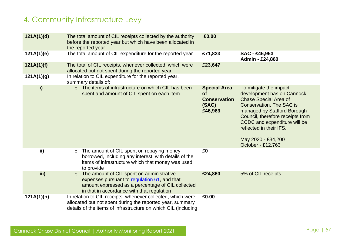| 121A(1)(d) | The total amount of CIL receipts collected by the authority<br>before the reported year but which have been allocated in<br>the reported year                                                           | £0.00                                                                |                                                                                                                                                                                                                                                                                                  |
|------------|---------------------------------------------------------------------------------------------------------------------------------------------------------------------------------------------------------|----------------------------------------------------------------------|--------------------------------------------------------------------------------------------------------------------------------------------------------------------------------------------------------------------------------------------------------------------------------------------------|
| 121A(1)(e) | The total amount of CIL expenditure for the reported year                                                                                                                                               | £71,823                                                              | SAC - £46,963<br>Admin - £24,860                                                                                                                                                                                                                                                                 |
| 121A(1)(f) | The total of CIL receipts, whenever collected, which were<br>allocated but not spent during the reported year                                                                                           | £23,647                                                              |                                                                                                                                                                                                                                                                                                  |
| 121A(1)(g) | In relation to CIL expenditure for the reported year,<br>summary details of:                                                                                                                            |                                                                      |                                                                                                                                                                                                                                                                                                  |
| i)         | ○ The items of infrastructure on which CIL has been<br>spent and amount of CIL spent on each item                                                                                                       | <b>Special Area</b><br>of<br><b>Conservation</b><br>(SAC)<br>£46,963 | To mitigate the impact<br>development has on Cannock<br><b>Chase Special Area of</b><br><b>Conservation. The SAC is</b><br>managed by Stafford Borough<br>Council, therefore receipts from<br>CCDC and expenditure will be<br>reflected in their IFS.<br>May 2020 - £34,200<br>October - £12,763 |
| ii)        | The amount of CIL spent on repaying money<br>$\circ$<br>borrowed, including any interest, with details of the<br>items of infrastructure which that money was used<br>to provide                        | £0                                                                   |                                                                                                                                                                                                                                                                                                  |
| iii)       | The amount of CIL spent on administrative<br>$\circ$<br>expenses pursuant to regulation 61, and that<br>amount expressed as a percentage of CIL collected<br>in that in accordance with that regulation | £24,860                                                              | 5% of CIL receipts                                                                                                                                                                                                                                                                               |
| 121A(1)(h) | In relation to CIL receipts, whenever collected, which were<br>allocated but not spent during the reported year, summary<br>details of the items of infrastructure on which CIL (including              | £0.00                                                                |                                                                                                                                                                                                                                                                                                  |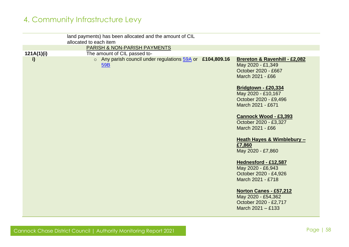|            | land payments) has been allocated and the amount of CIL<br>allocated to each item                |                                                                                                                                                                                                                                                                                                                                                                                        |
|------------|--------------------------------------------------------------------------------------------------|----------------------------------------------------------------------------------------------------------------------------------------------------------------------------------------------------------------------------------------------------------------------------------------------------------------------------------------------------------------------------------------|
|            | PARISH & NON-PARISH PAYMENTS                                                                     |                                                                                                                                                                                                                                                                                                                                                                                        |
| 121A(1)(i) |                                                                                                  |                                                                                                                                                                                                                                                                                                                                                                                        |
| i)         | The amount of CIL passed to-<br>o Any parish council under regulations 59A or £104,809.16<br>59B | Brereton & Ravenhill - £2,082<br>May 2020 - £1,349<br>October 2020 - £667<br>March 2021 - £66<br><b>Bridgtown - £20,334</b><br>May 2020 - £10,167<br>October 2020 - £9,496<br>March 2021 - £671<br><b>Cannock Wood - £3,393</b><br>October 2020 - £3,327<br>March 2021 - £66<br>Heath Hayes & Wimblebury -<br>£7,860<br>May 2020 - £7,860<br>Hednesford - £12,587<br>May 2020 - £6,943 |
|            |                                                                                                  | October 2020 - £4,926                                                                                                                                                                                                                                                                                                                                                                  |
|            |                                                                                                  | March 2021 - £718                                                                                                                                                                                                                                                                                                                                                                      |
|            |                                                                                                  | <b>Norton Canes - £57,212</b><br>May 2020 - £54,362<br>October 2020 - £2,717<br>March $2021 - £133$                                                                                                                                                                                                                                                                                    |
|            |                                                                                                  |                                                                                                                                                                                                                                                                                                                                                                                        |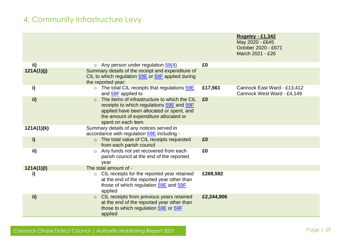|            |                                                                                                                                                                                                        |            | <b>Rugeley - £1,342</b><br>May 2020 - £645<br>October 2020 - £671<br>March 2021 - £26 |
|------------|--------------------------------------------------------------------------------------------------------------------------------------------------------------------------------------------------------|------------|---------------------------------------------------------------------------------------|
| ii)        | $\circ$ Any person under regulation $\frac{59(4)}{2}$                                                                                                                                                  | £0         |                                                                                       |
| 121A(1)(j) | Summary details of the receipt and expenditure of<br>CIL to which regulation 59E or 59F applied during<br>the reported year:                                                                           |            |                                                                                       |
| i)         | The total CIL receipts that regulations 59E<br>$\circ$<br>and 59F applied to                                                                                                                           | £17,561    | Cannock East Ward - £13,412<br>Cannock West Ward - £4,149                             |
| ii)        | The items of infrastructure to which the CIL<br>receipts to which regulations 59E and 59F<br>applied have been allocated or spent, and<br>the amount of expenditure allocated or<br>spent on each item | £0         |                                                                                       |
| 121A(1)(k) | Summary details of any notices served in<br>accordance with regulation 59E including -                                                                                                                 |            |                                                                                       |
| i)         | The total value of CIL receipts requested<br>$\circ$<br>from each parish council                                                                                                                       | £0         |                                                                                       |
| ii)        | Any funds not yet recovered from each<br>$\circ$<br>parish council at the end of the reported<br>year                                                                                                  | £0         |                                                                                       |
| 121A(1)(I) | The total amount of -                                                                                                                                                                                  |            |                                                                                       |
| i)         | CIL receipts for the reported year retained<br>$\circ$<br>at the end of the reported year other than<br>those of which regulation 59E and 59F<br>applied                                               | £269,592   |                                                                                       |
| ii)        | CIL receipts from previous years retained<br>$\circ$<br>at the end of the reported year other than<br>those to which regulation 59E or 59F<br>applied                                                  | £2,244,906 |                                                                                       |

Cannock Chase District Council | Authority Monitoring Report 2021 Page | 59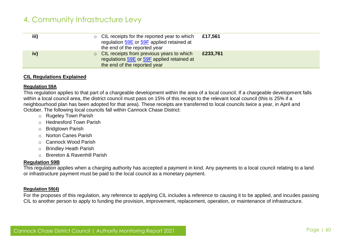| iii) | $\circ$ CIL receipts for the reported year to which<br>regulation 59E or 59F applied retained at<br>the end of the reported year | £17,561  |
|------|----------------------------------------------------------------------------------------------------------------------------------|----------|
| iv)  | $\circ$ CIL receipts from previous years to which<br>regulations 59E or 59F applied retained at<br>the end of the reported year  | £233,761 |

#### **CIL Regulations Explained**

#### <span id="page-59-0"></span>**Regulation 59A**

This regulation applies to that part of a chargeable development within the area of a local council. If a chargeable development falls within a local council area, the district council must pass on 15% of this receipt to the relevant local council (this is 25% if a neighbourhood plan has been adopted for that area). These receipts are transferred to local councils twice a year, in April and October. The following local councils fall within Cannock Chase District:

- o Rugeley Town Parish
- o Hednesford Town Parish
- **Bridgtown Parish**
- o Norton Canes Parish
- o Cannock Wood Parish
- o Brindley Heath Parish
- <span id="page-59-1"></span>o Brereton & Ravenhill Parish

#### **Regulation 59B**

This regulation applies when a charging authority has accepted a payment in kind. Any payments to a local council relating to a land or infrastructure payment must be paid to the local council as a monetary payment.

#### <span id="page-59-2"></span>**Regulation 59(4)**

For the proposes of this regulation, any reference to applying CIL includes a reference to causing it to be applied, and incudes passing CIL to another person to apply to funding the provision, improvement, replacement, operation, or maintenance of infrastructure.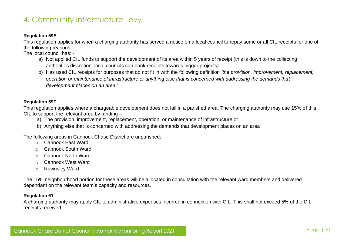#### <span id="page-60-1"></span>**Regulation 59E**

This regulation applies for when a charging authority has served a notice on a local council to repay some or all CIL receipts for one of the following reasons:

The local council has: -

- a) Not applied CIL funds to support the development of its area within 5 years of receipt (this is down to the collecting authorities discretion, local councils can bank receipts towards bigger projects)
- b) Has used CIL receipts for purposes that do not fit in with the following definition *'the provision, improvement, replacement, operation or maintenance of infrastructure or anything else that is concerned with addressing the demands that development places on an area.'*

#### <span id="page-60-2"></span>**Regulation 59F**

This regulation applies where a chargeable development does not fall in a parished area. The charging authority may use 15% of this CIL to support the relevant area by funding –

- a) The provision, improvement, replacement, operation, or maintenance of infrastructure or;
- b) Anything else that is concerned with addressing the demands that development places on an area

The following areas in Cannock Chase District are unparished:

- o Cannock East Ward
- o Cannock South Ward
- o Cannock North Ward
- o Cannock West Ward
- o Rawnsley Ward

The 15% neighbourhood portion for these areas will be allocated in consultation with the relevant ward members and delivered dependant on the relevant team's capacity and resources.

#### <span id="page-60-0"></span>**Regulation 61**

A charging authority may apply CIL to administrative expenses incurred in connection with CIL. This shall not exceed 5% of the CIL receipts received.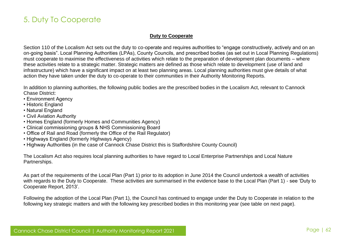# 5. Duty To Cooperate

#### **Duty to Cooperate**

Section 110 of the Localism Act sets out the duty to co-operate and requires authorities to "engage constructively, actively and on an on-going basis". Local Planning Authorities (LPAs), County Councils, and prescribed bodies (as set out in Local Planning Regulations) must cooperate to maximise the effectiveness of activities which relate to the preparation of development plan documents – where these activities relate to a strategic matter. Strategic matters are defined as those which relate to development (use of land and infrastructure) which have a significant impact on at least two planning areas. Local planning authorities must give details of what action they have taken under the duty to co-operate to their communities in their Authority Monitoring Reports.

In addition to planning authorities, the following public bodies are the prescribed bodies in the Localism Act, relevant to Cannock Chase District:

- Environment Agency
- Historic England
- Natural England
- Civil Aviation Authority
- Homes England (formerly Homes and Communities Agency)
- Clinical commissioning groups & NHS Commissioning Board
- Office of Rail and Road (formerly the Office of the Rail Regulator)
- Highways England (formerly Highways Agency)
- Highway Authorities (in the case of Cannock Chase District this is Staffordshire County Council)

The Localism Act also requires local planning authorities to have regard to Local Enterprise Partnerships and Local Nature Partnerships.

As part of the requirements of the Local Plan (Part 1) prior to its adoption in June 2014 the Council undertook a wealth of activities with regards to the Duty to Cooperate. These activities are summarised in the evidence base to the Local Plan (Part 1) - see 'Duty to Cooperate Report, 2013'.

Following the adoption of the Local Plan (Part 1), the Council has continued to engage under the Duty to Cooperate in relation to the following key strategic matters and with the following key prescribed bodies in this monitoring year (see table on next page).